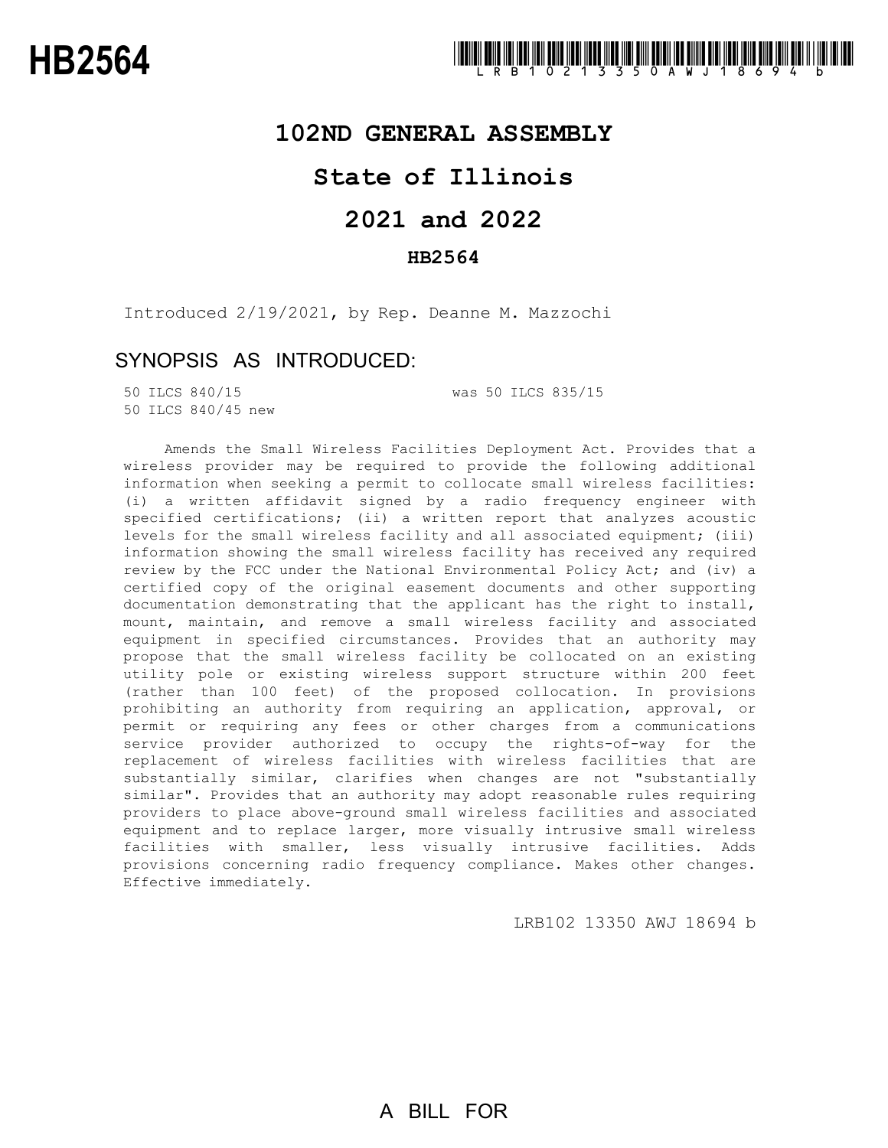## **102ND GENERAL ASSEMBLY**

# **State of Illinois**

# **2021 and 2022**

## **HB2564**

Introduced 2/19/2021, by Rep. Deanne M. Mazzochi

# SYNOPSIS AS INTRODUCED:

50 ILCS 840/45 new

50 ILCS 840/15 was 50 ILCS 835/15

Amends the Small Wireless Facilities Deployment Act. Provides that a wireless provider may be required to provide the following additional information when seeking a permit to collocate small wireless facilities: (i) a written affidavit signed by a radio frequency engineer with specified certifications; (ii) a written report that analyzes acoustic levels for the small wireless facility and all associated equipment; (iii) information showing the small wireless facility has received any required review by the FCC under the National Environmental Policy Act; and (iv) a certified copy of the original easement documents and other supporting documentation demonstrating that the applicant has the right to install, mount, maintain, and remove a small wireless facility and associated equipment in specified circumstances. Provides that an authority may propose that the small wireless facility be collocated on an existing utility pole or existing wireless support structure within 200 feet (rather than 100 feet) of the proposed collocation. In provisions prohibiting an authority from requiring an application, approval, or permit or requiring any fees or other charges from a communications service provider authorized to occupy the rights-of-way for the replacement of wireless facilities with wireless facilities that are substantially similar, clarifies when changes are not "substantially similar". Provides that an authority may adopt reasonable rules requiring providers to place above-ground small wireless facilities and associated equipment and to replace larger, more visually intrusive small wireless facilities with smaller, less visually intrusive facilities. Adds provisions concerning radio frequency compliance. Makes other changes. Effective immediately.

LRB102 13350 AWJ 18694 b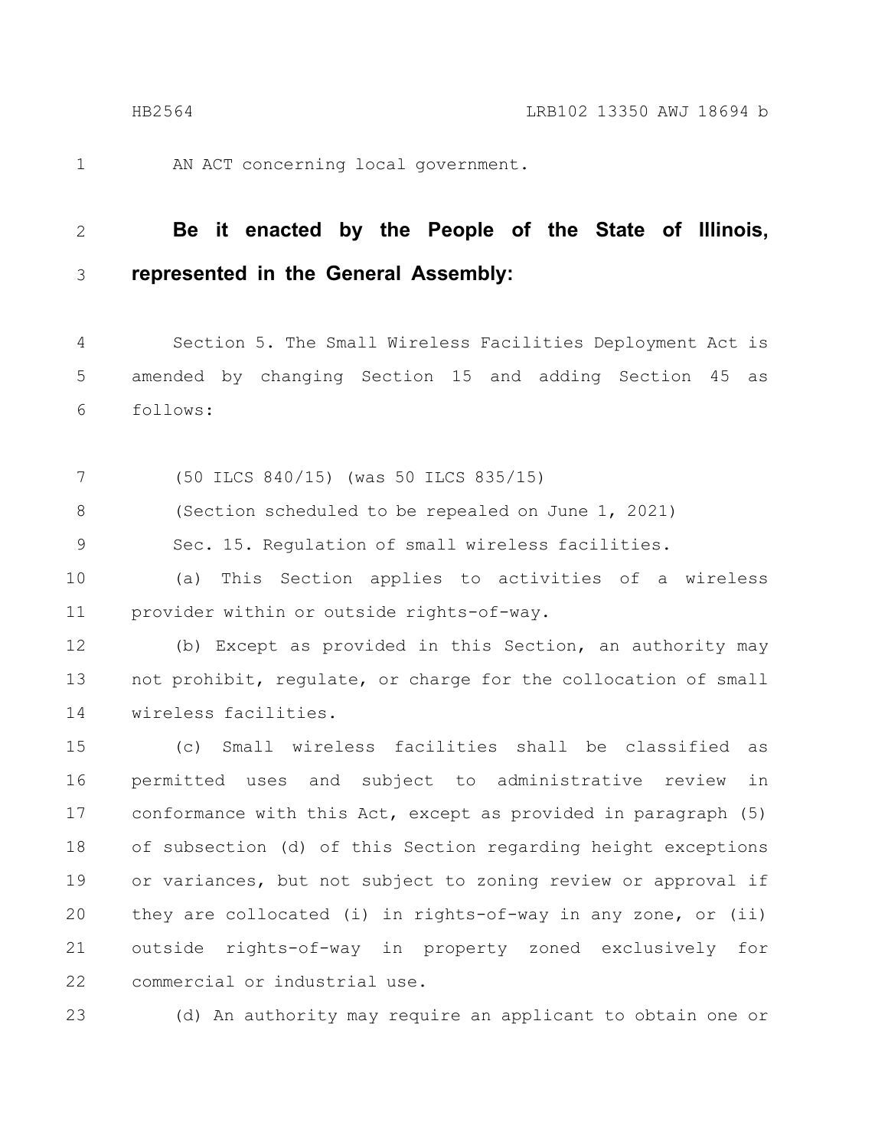1

AN ACT concerning local government.

#### **Be it enacted by the People of the State of Illinois, represented in the General Assembly:** 2 3

Section 5. The Small Wireless Facilities Deployment Act is amended by changing Section 15 and adding Section 45 as follows: 4 5 6

(50 ILCS 840/15) (was 50 ILCS 835/15) 7

(Section scheduled to be repealed on June 1, 2021) 8

Sec. 15. Regulation of small wireless facilities. 9

(a) This Section applies to activities of a wireless provider within or outside rights-of-way. 10 11

(b) Except as provided in this Section, an authority may not prohibit, regulate, or charge for the collocation of small wireless facilities. 12 13 14

(c) Small wireless facilities shall be classified as permitted uses and subject to administrative review in conformance with this Act, except as provided in paragraph (5) of subsection (d) of this Section regarding height exceptions or variances, but not subject to zoning review or approval if they are collocated (i) in rights-of-way in any zone, or (ii) outside rights-of-way in property zoned exclusively for commercial or industrial use. 15 16 17 18 19 20 21 22

23

(d) An authority may require an applicant to obtain one or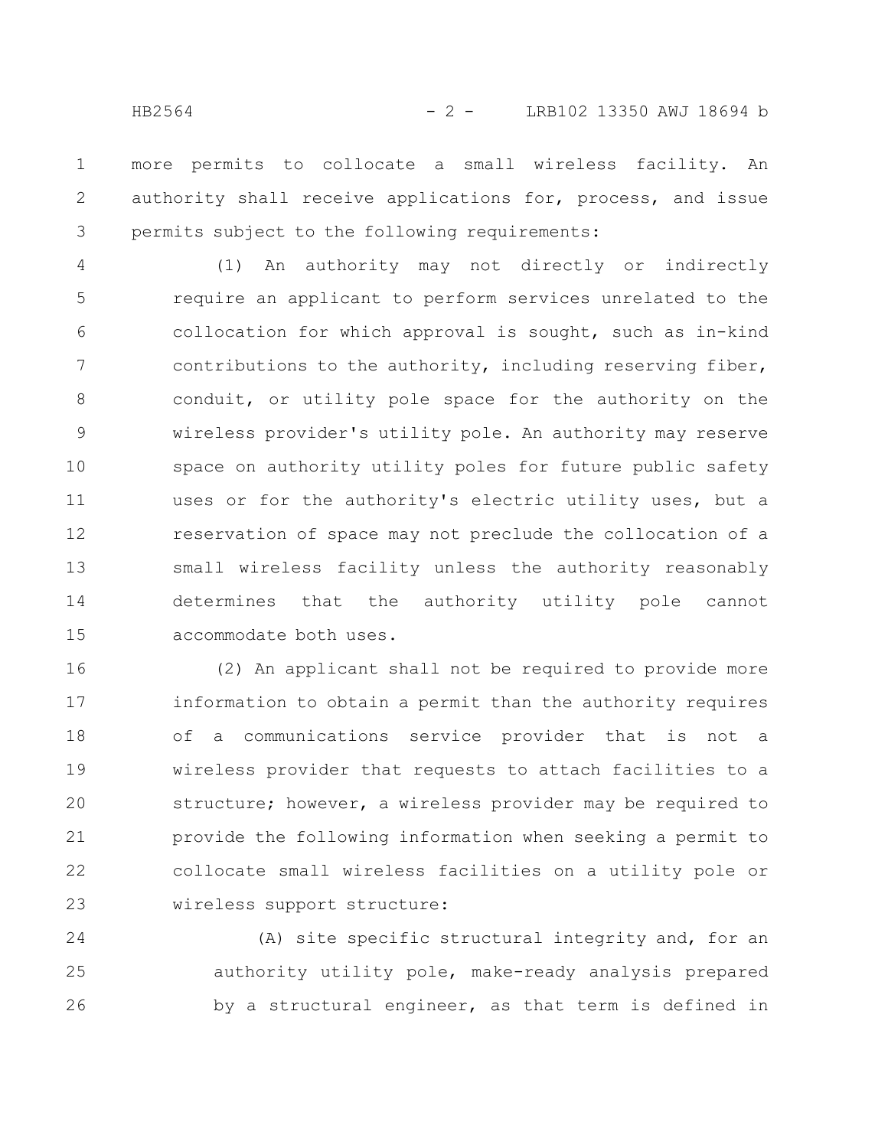more permits to collocate a small wireless facility. An authority shall receive applications for, process, and issue permits subject to the following requirements: 1 2 3

(1) An authority may not directly or indirectly require an applicant to perform services unrelated to the collocation for which approval is sought, such as in-kind contributions to the authority, including reserving fiber, conduit, or utility pole space for the authority on the wireless provider's utility pole. An authority may reserve space on authority utility poles for future public safety uses or for the authority's electric utility uses, but a reservation of space may not preclude the collocation of a small wireless facility unless the authority reasonably determines that the authority utility pole cannot accommodate both uses. 4 5 6 7 8 9 10 11 12 13 14 15

(2) An applicant shall not be required to provide more information to obtain a permit than the authority requires of a communications service provider that is not a wireless provider that requests to attach facilities to a structure; however, a wireless provider may be required to provide the following information when seeking a permit to collocate small wireless facilities on a utility pole or wireless support structure: 16 17 18 19 20 21 22 23

(A) site specific structural integrity and, for an authority utility pole, make-ready analysis prepared by a structural engineer, as that term is defined in 24 25 26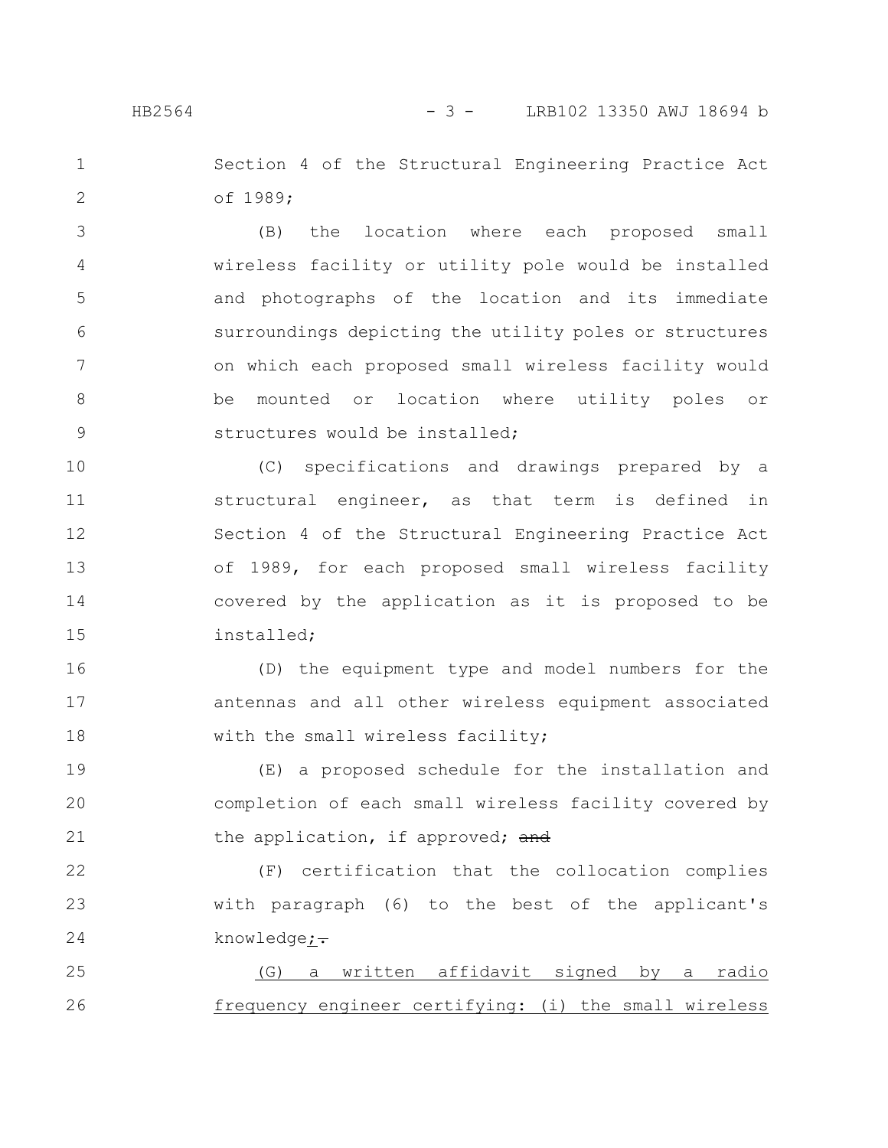### HB2564 - 3 - LRB102 13350 AWJ 18694 b

Section 4 of the Structural Engineering Practice Act of 1989; 1 2

(B) the location where each proposed small wireless facility or utility pole would be installed and photographs of the location and its immediate surroundings depicting the utility poles or structures on which each proposed small wireless facility would be mounted or location where utility poles or structures would be installed; 3 4 5 6 7 8 9

(C) specifications and drawings prepared by a structural engineer, as that term is defined in Section 4 of the Structural Engineering Practice Act of 1989, for each proposed small wireless facility covered by the application as it is proposed to be installed; 10 11 12 13 14 15

(D) the equipment type and model numbers for the antennas and all other wireless equipment associated with the small wireless facility; 16 17 18

(E) a proposed schedule for the installation and completion of each small wireless facility covered by the application, if approved; and 19 20 21

(F) certification that the collocation complies with paragraph (6) to the best of the applicant's knowledge;-22 23 24

(G) a written affidavit signed by a radio frequency engineer certifying: (i) the small wireless 25 26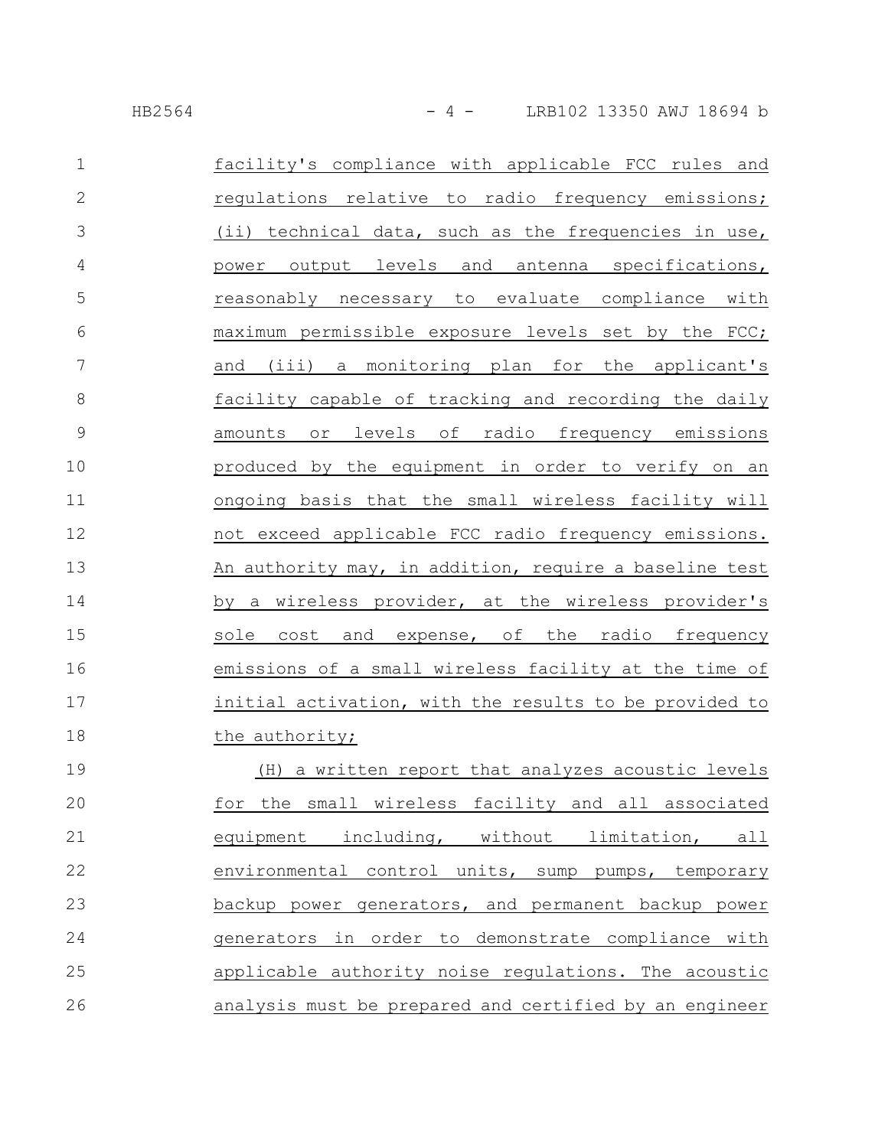| $\mathbf{1}$    | facility's compliance with applicable FCC rules and    |
|-----------------|--------------------------------------------------------|
| $\mathbf{2}$    | regulations relative to radio frequency emissions;     |
| 3               | (ii) technical data, such as the frequencies in use,   |
| $\overline{4}$  | power output levels and antenna specifications,        |
| 5               | reasonably necessary to evaluate compliance with       |
| 6               | maximum permissible exposure levels set by the FCC;    |
| $7\phantom{.0}$ | and (iii) a monitoring plan for the applicant's        |
| 8               | facility capable of tracking and recording the daily   |
| $\mathsf 9$     | amounts or levels of radio frequency emissions         |
| 10              | produced by the equipment in order to verify on an     |
| 11              | ongoing basis that the small wireless facility will    |
| 12              | not exceed applicable FCC radio frequency emissions.   |
| 13              | An authority may, in addition, require a baseline test |
| 14              | by a wireless provider, at the wireless provider's     |
| 15              | sole cost and expense, of the radio frequency          |
| 16              | emissions of a small wireless facility at the time of  |
| 17              | initial activation, with the results to be provided to |
| 18              | the authority;                                         |
| 19              | (H) a written report that analyzes acoustic levels     |
| 20              | for the small wireless facility and all associated     |
| 21              | equipment including, without limitation, all           |
| 22              | environmental control units, sump pumps, temporary     |
| 23              | backup power generators, and permanent backup power    |
| 24              | generators in order to demonstrate compliance with     |
| 25              | applicable authority noise regulations. The acoustic   |
| 26              | analysis must be prepared and certified by an engineer |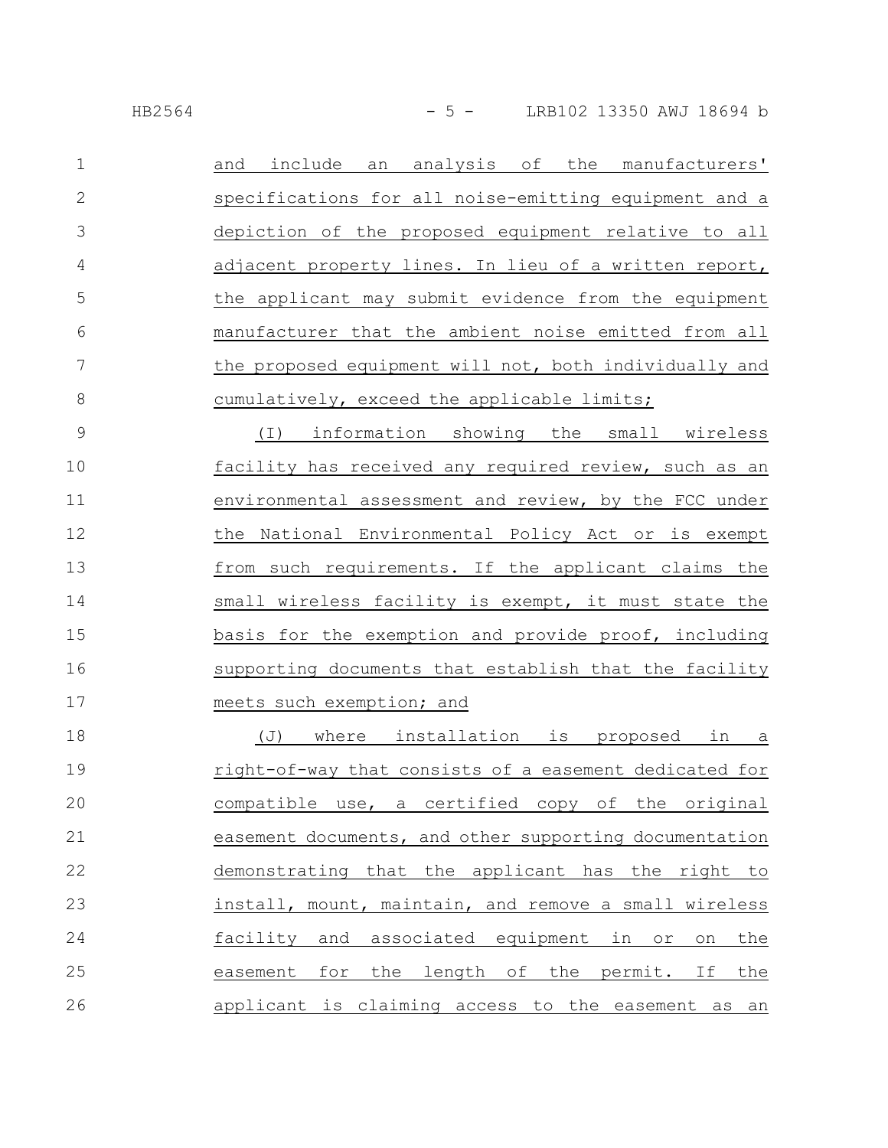| $\mathbf{1}$  | and include an analysis of the manufacturers'                      |
|---------------|--------------------------------------------------------------------|
| $\mathbf{2}$  | specifications for all noise-emitting equipment and a              |
| 3             | depiction of the proposed equipment relative to all                |
| 4             | adjacent property lines. In lieu of a written report,              |
| 5             | the applicant may submit evidence from the equipment               |
| 6             | manufacturer that the ambient noise emitted from all               |
| 7             | the proposed equipment will not, both individually and             |
| 8             | cumulatively, exceed the applicable limits;                        |
| $\mathcal{G}$ | (I) information showing the small wireless                         |
| 10            | facility has received any required review, such as an              |
| 11            | environmental assessment and review, by the FCC under              |
| 12            | the National Environmental Policy Act or is exempt                 |
| 13            | from such requirements. If the applicant claims the                |
| 14            | small wireless facility is exempt, it must state the               |
| 15            | basis for the exemption and provide proof, including               |
| 16            | supporting documents that establish that the facility              |
| 17            | meets such exemption; and                                          |
| 18            | where installation is proposed<br>(J)<br>in<br>а                   |
| 19            | right-of-way that consists of a easement dedicated for             |
| 20            | a certified<br>compatible use,<br>original<br>copy of<br>the       |
| 21            | easement documents, and other supporting documentation             |
| 22            | demonstrating that the applicant has the right to                  |
| 23            | install, mount, maintain, and remove a small wireless              |
| 24            | and associated equipment<br>facility<br>in or<br>the<br>on         |
| 25            | for<br>the<br>length<br>of the<br>easement<br>permit.<br>If<br>the |

applicant is claiming access to the easement as an 26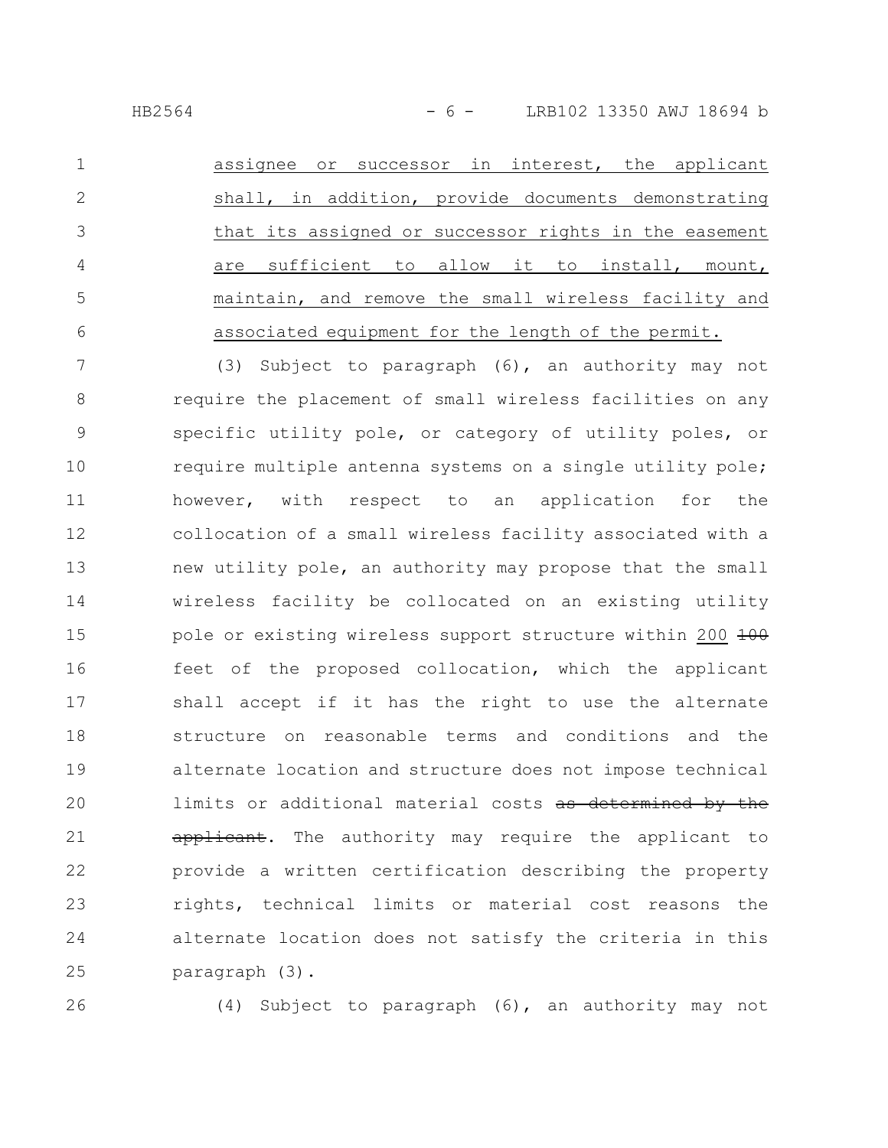HB2564 - 6 - LRB102 13350 AWJ 18694 b

assignee or successor in interest, the applicant shall, in addition, provide documents demonstrating that its assigned or successor rights in the easement are sufficient to allow it to install, mount, maintain, and remove the small wireless facility and associated equipment for the length of the permit. 1 2 3 4 5 6

(3) Subject to paragraph (6), an authority may not require the placement of small wireless facilities on any specific utility pole, or category of utility poles, or require multiple antenna systems on a single utility pole; however, with respect to an application for the collocation of a small wireless facility associated with a new utility pole, an authority may propose that the small wireless facility be collocated on an existing utility pole or existing wireless support structure within 200 100 feet of the proposed collocation, which the applicant shall accept if it has the right to use the alternate structure on reasonable terms and conditions and the alternate location and structure does not impose technical limits or additional material costs as determined by the applicant. The authority may require the applicant to provide a written certification describing the property rights, technical limits or material cost reasons the alternate location does not satisfy the criteria in this paragraph (3). 7 8 9 10 11 12 13 14 15 16 17 18 19 20 21 22 23 24 25

26

(4) Subject to paragraph (6), an authority may not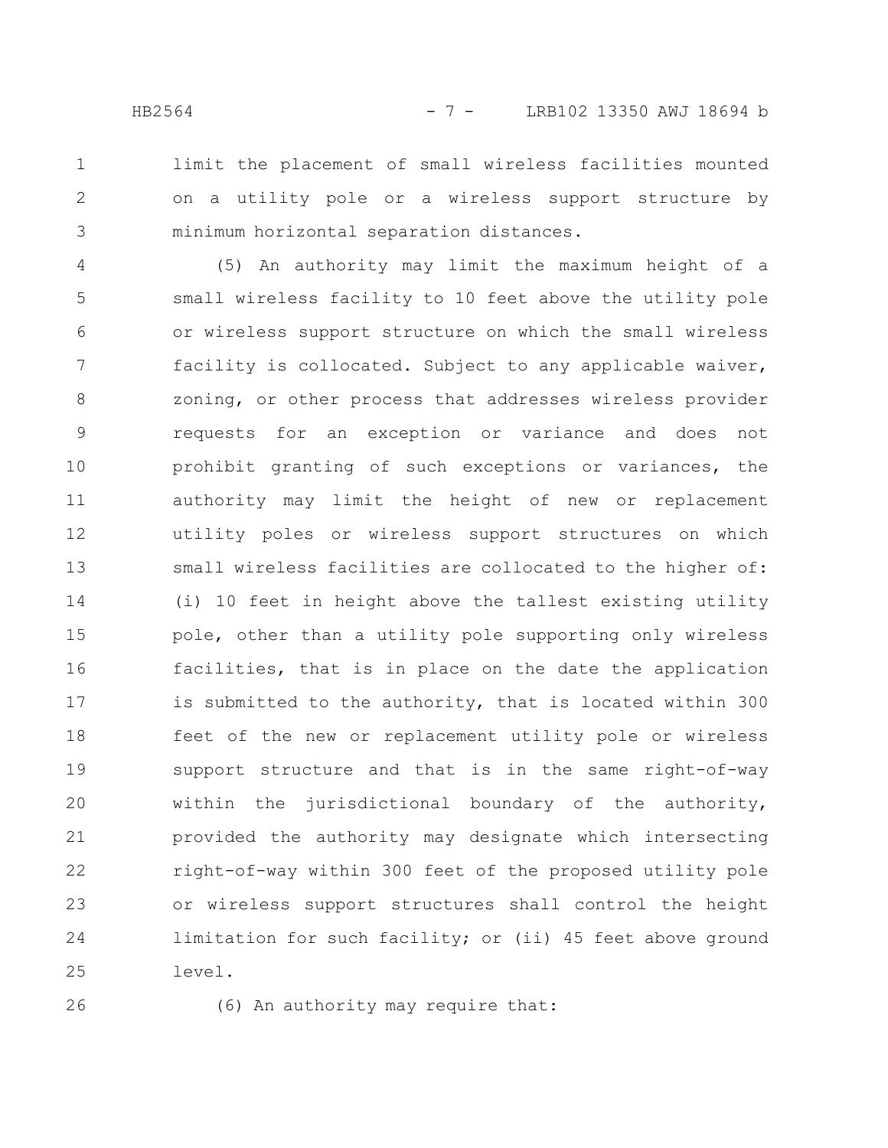1 2 3

limit the placement of small wireless facilities mounted on a utility pole or a wireless support structure by minimum horizontal separation distances.

(5) An authority may limit the maximum height of a small wireless facility to 10 feet above the utility pole or wireless support structure on which the small wireless facility is collocated. Subject to any applicable waiver, zoning, or other process that addresses wireless provider requests for an exception or variance and does not prohibit granting of such exceptions or variances, the authority may limit the height of new or replacement utility poles or wireless support structures on which small wireless facilities are collocated to the higher of: (i) 10 feet in height above the tallest existing utility pole, other than a utility pole supporting only wireless facilities, that is in place on the date the application is submitted to the authority, that is located within 300 feet of the new or replacement utility pole or wireless support structure and that is in the same right-of-way within the jurisdictional boundary of the authority, provided the authority may designate which intersecting right-of-way within 300 feet of the proposed utility pole or wireless support structures shall control the height limitation for such facility; or (ii) 45 feet above ground level. 4 5 6 7 8 9 10 11 12 13 14 15 16 17 18 19 20 21 22 23 24 25

26

(6) An authority may require that: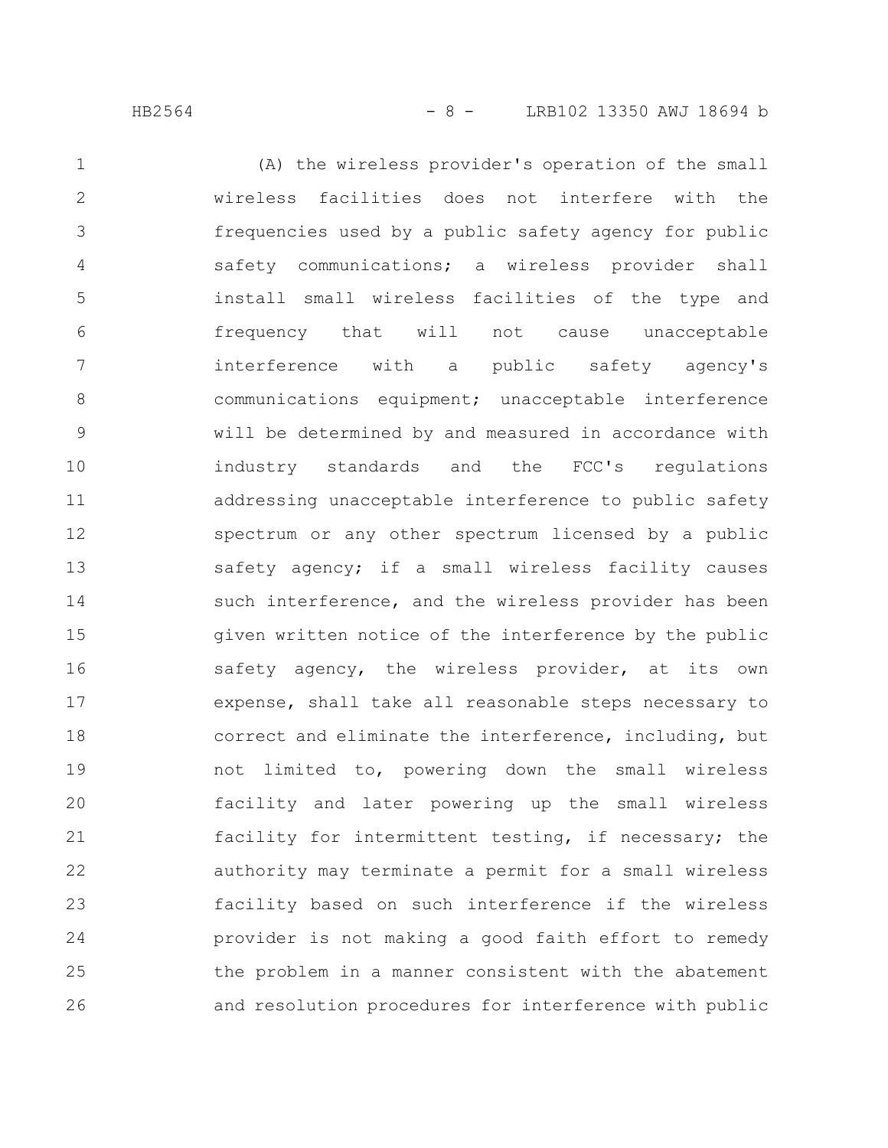(A) the wireless provider's operation of the small wireless facilities does not interfere with the frequencies used by a public safety agency for public safety communications; a wireless provider shall install small wireless facilities of the type and frequency that will not cause unacceptable interference with a public safety agency's communications equipment; unacceptable interference will be determined by and measured in accordance with industry standards and the FCC's regulations addressing unacceptable interference to public safety spectrum or any other spectrum licensed by a public safety agency; if a small wireless facility causes such interference, and the wireless provider has been given written notice of the interference by the public safety agency, the wireless provider, at its own expense, shall take all reasonable steps necessary to correct and eliminate the interference, including, but not limited to, powering down the small wireless facility and later powering up the small wireless facility for intermittent testing, if necessary; the authority may terminate a permit for a small wireless facility based on such interference if the wireless provider is not making a good faith effort to remedy the problem in a manner consistent with the abatement and resolution procedures for interference with public 1 2 3 4 5 6 7 8 9 10 11 12 13 14 15 16 17 18 19 20 21 22 23 24 25 26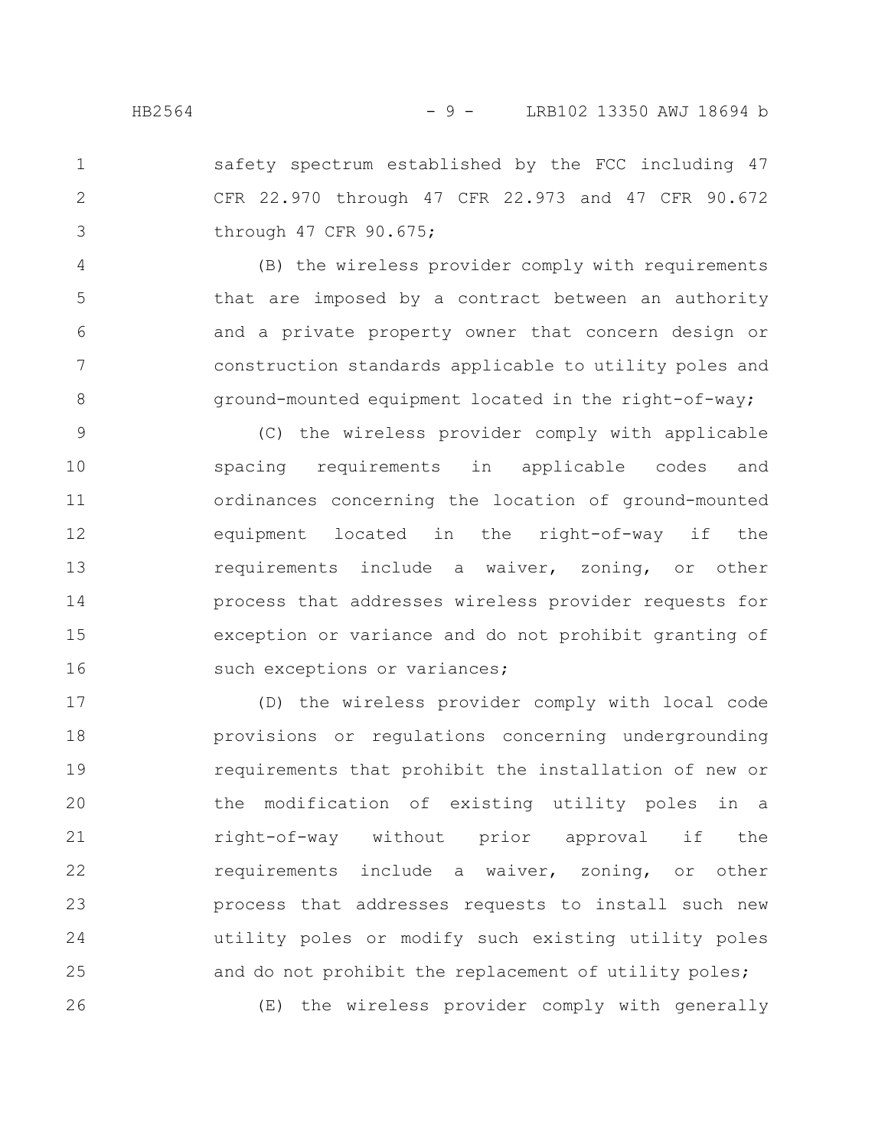1

2

3

safety spectrum established by the FCC including 47 CFR 22.970 through 47 CFR 22.973 and 47 CFR 90.672 through 47 CFR 90.675;

(B) the wireless provider comply with requirements that are imposed by a contract between an authority and a private property owner that concern design or construction standards applicable to utility poles and ground-mounted equipment located in the right-of-way; 4 5 6 7 8

(C) the wireless provider comply with applicable spacing requirements in applicable codes and ordinances concerning the location of ground-mounted equipment located in the right-of-way if the requirements include a waiver, zoning, or other process that addresses wireless provider requests for exception or variance and do not prohibit granting of such exceptions or variances; 9 10 11 12 13 14 15 16

(D) the wireless provider comply with local code provisions or regulations concerning undergrounding requirements that prohibit the installation of new or the modification of existing utility poles in a right-of-way without prior approval if the requirements include a waiver, zoning, or other process that addresses requests to install such new utility poles or modify such existing utility poles and do not prohibit the replacement of utility poles; (E) the wireless provider comply with generally 17 18 19 20 21 22 23 24 25 26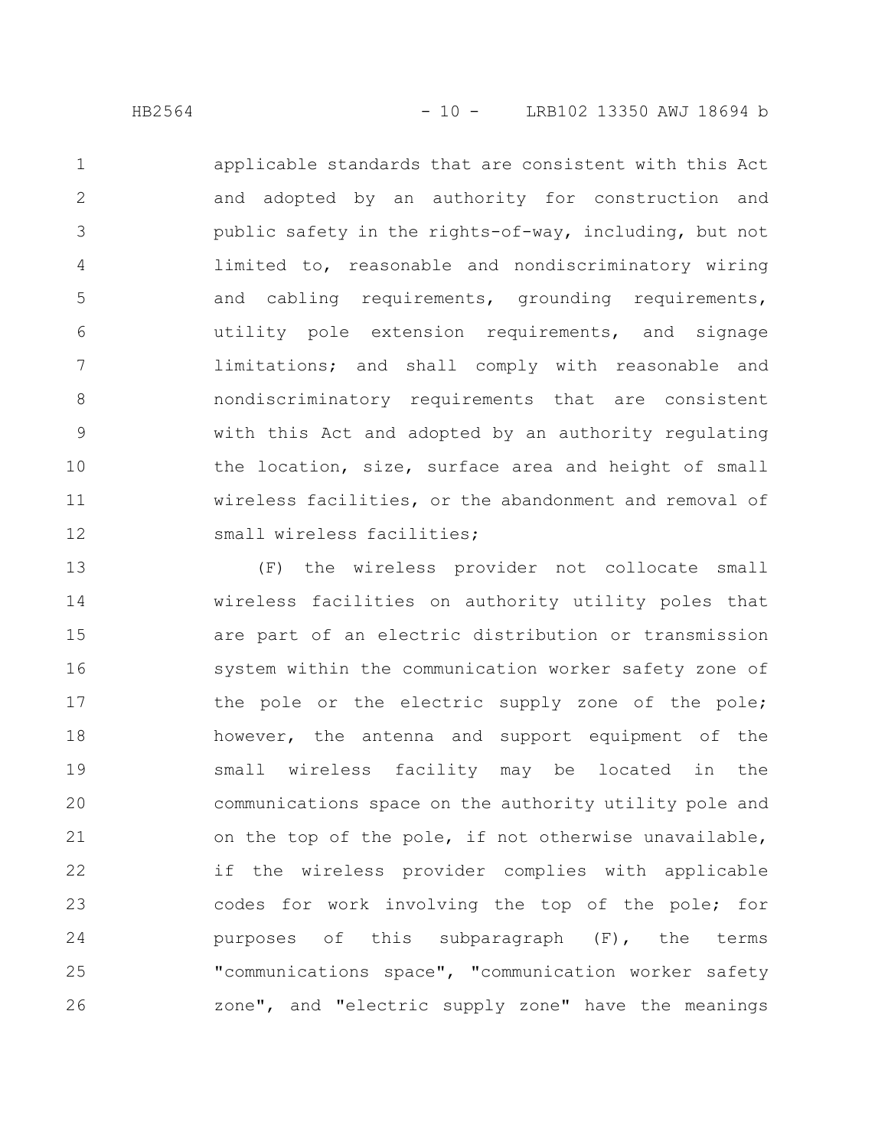applicable standards that are consistent with this Act and adopted by an authority for construction and public safety in the rights-of-way, including, but not limited to, reasonable and nondiscriminatory wiring and cabling requirements, grounding requirements, utility pole extension requirements, and signage limitations; and shall comply with reasonable and nondiscriminatory requirements that are consistent with this Act and adopted by an authority regulating the location, size, surface area and height of small wireless facilities, or the abandonment and removal of small wireless facilities; 1 2 3 4 5 6 7 8 9 10 11 12

(F) the wireless provider not collocate small wireless facilities on authority utility poles that are part of an electric distribution or transmission system within the communication worker safety zone of the pole or the electric supply zone of the pole; however, the antenna and support equipment of the small wireless facility may be located in the communications space on the authority utility pole and on the top of the pole, if not otherwise unavailable, if the wireless provider complies with applicable codes for work involving the top of the pole; for purposes of this subparagraph (F), the terms "communications space", "communication worker safety zone", and "electric supply zone" have the meanings 13 14 15 16 17 18 19 20 21 22 23 24 25 26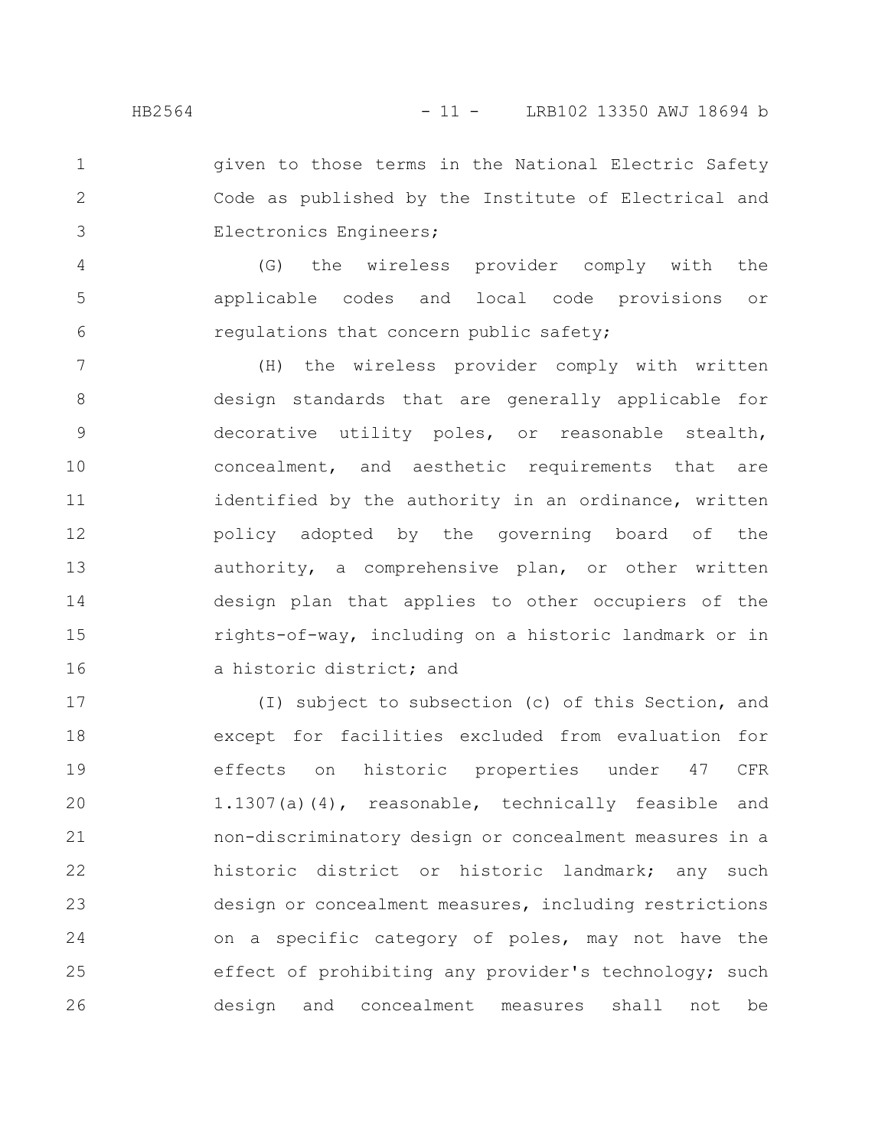given to those terms in the National Electric Safety Code as published by the Institute of Electrical and Electronics Engineers; 1 2 3

(G) the wireless provider comply with the applicable codes and local code provisions or regulations that concern public safety; 4 5 6

(H) the wireless provider comply with written design standards that are generally applicable for decorative utility poles, or reasonable stealth, concealment, and aesthetic requirements that are identified by the authority in an ordinance, written policy adopted by the governing board of the authority, a comprehensive plan, or other written design plan that applies to other occupiers of the rights-of-way, including on a historic landmark or in a historic district; and 7 8 9 10 11 12 13 14 15 16

(I) subject to subsection (c) of this Section, and except for facilities excluded from evaluation for effects on historic properties under 47 CFR 1.1307(a)(4), reasonable, technically feasible and non-discriminatory design or concealment measures in a historic district or historic landmark; any such design or concealment measures, including restrictions on a specific category of poles, may not have the effect of prohibiting any provider's technology; such design and concealment measures shall not be 17 18 19 20 21 22 23 24 25 26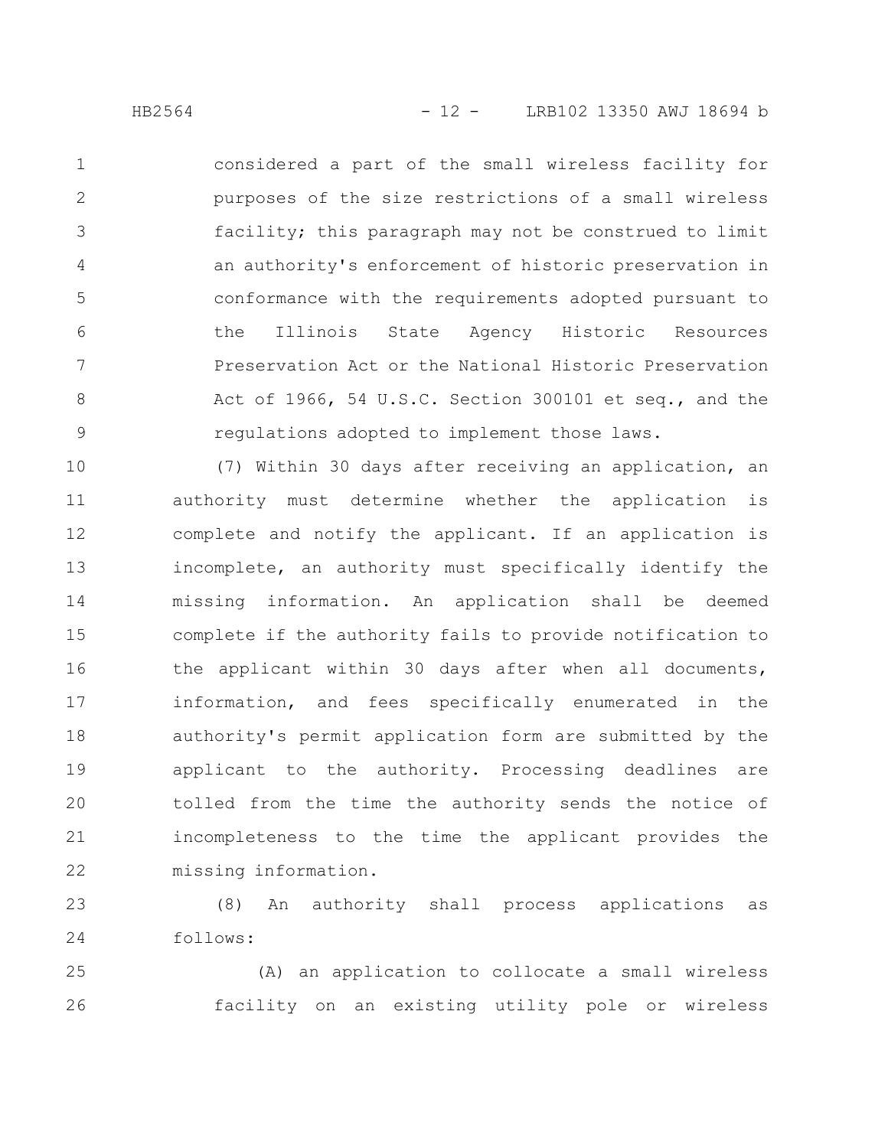considered a part of the small wireless facility for purposes of the size restrictions of a small wireless facility; this paragraph may not be construed to limit an authority's enforcement of historic preservation in conformance with the requirements adopted pursuant to the Illinois State Agency Historic Resources Preservation Act or the National Historic Preservation Act of 1966, 54 U.S.C. Section 300101 et seq., and the regulations adopted to implement those laws. 1 2 3 4 5 6 7 8 9

(7) Within 30 days after receiving an application, an authority must determine whether the application is complete and notify the applicant. If an application is incomplete, an authority must specifically identify the missing information. An application shall be deemed complete if the authority fails to provide notification to the applicant within 30 days after when all documents, information, and fees specifically enumerated in the authority's permit application form are submitted by the applicant to the authority. Processing deadlines are tolled from the time the authority sends the notice of incompleteness to the time the applicant provides the missing information. 10 11 12 13 14 15 16 17 18 19 20 21 22

(8) An authority shall process applications as follows: 23 24

(A) an application to collocate a small wireless facility on an existing utility pole or wireless 25 26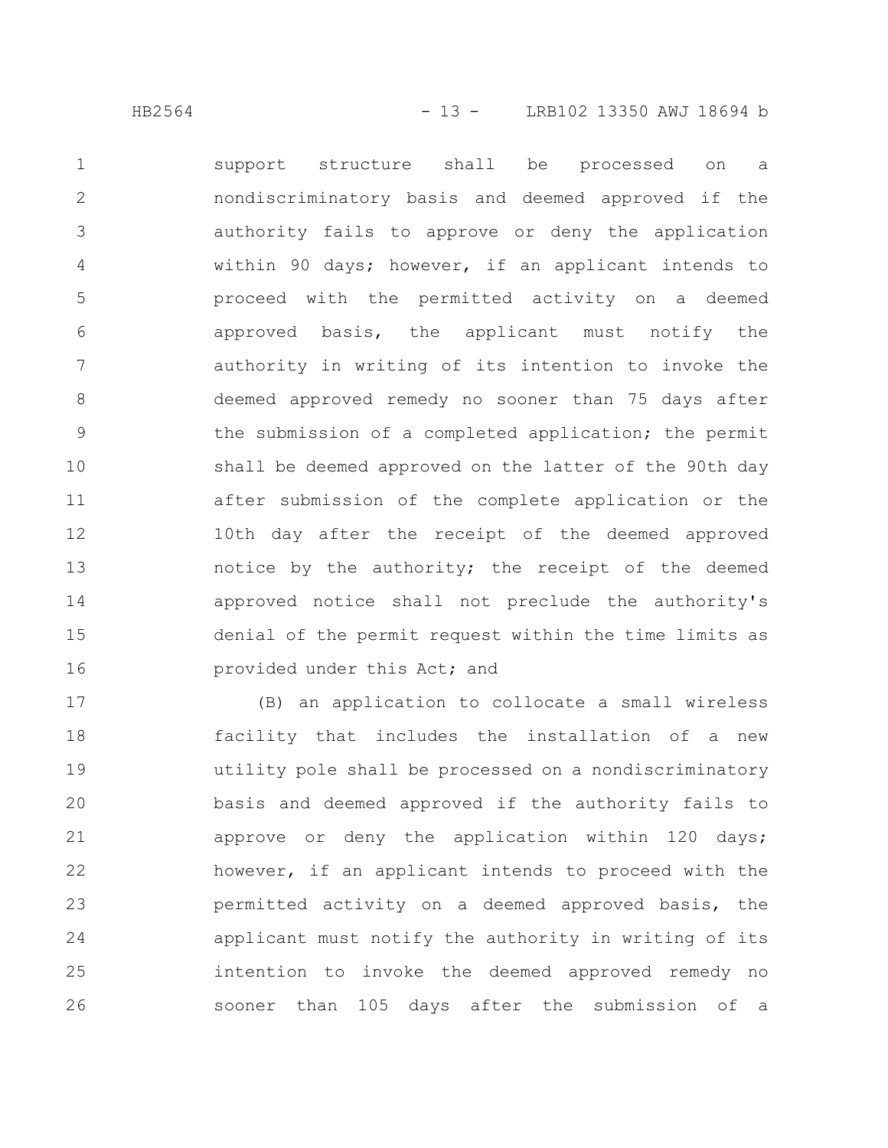support structure shall be processed on a nondiscriminatory basis and deemed approved if the authority fails to approve or deny the application within 90 days; however, if an applicant intends to proceed with the permitted activity on a deemed approved basis, the applicant must notify the authority in writing of its intention to invoke the deemed approved remedy no sooner than 75 days after the submission of a completed application; the permit shall be deemed approved on the latter of the 90th day after submission of the complete application or the 10th day after the receipt of the deemed approved notice by the authority; the receipt of the deemed approved notice shall not preclude the authority's denial of the permit request within the time limits as provided under this Act; and 1 2 3 4 5 6 7 8 9 10 11 12 13 14 15 16

(B) an application to collocate a small wireless facility that includes the installation of a new utility pole shall be processed on a nondiscriminatory basis and deemed approved if the authority fails to approve or deny the application within 120 days; however, if an applicant intends to proceed with the permitted activity on a deemed approved basis, the applicant must notify the authority in writing of its intention to invoke the deemed approved remedy no sooner than 105 days after the submission of a 17 18 19 20 21 22 23 24 25 26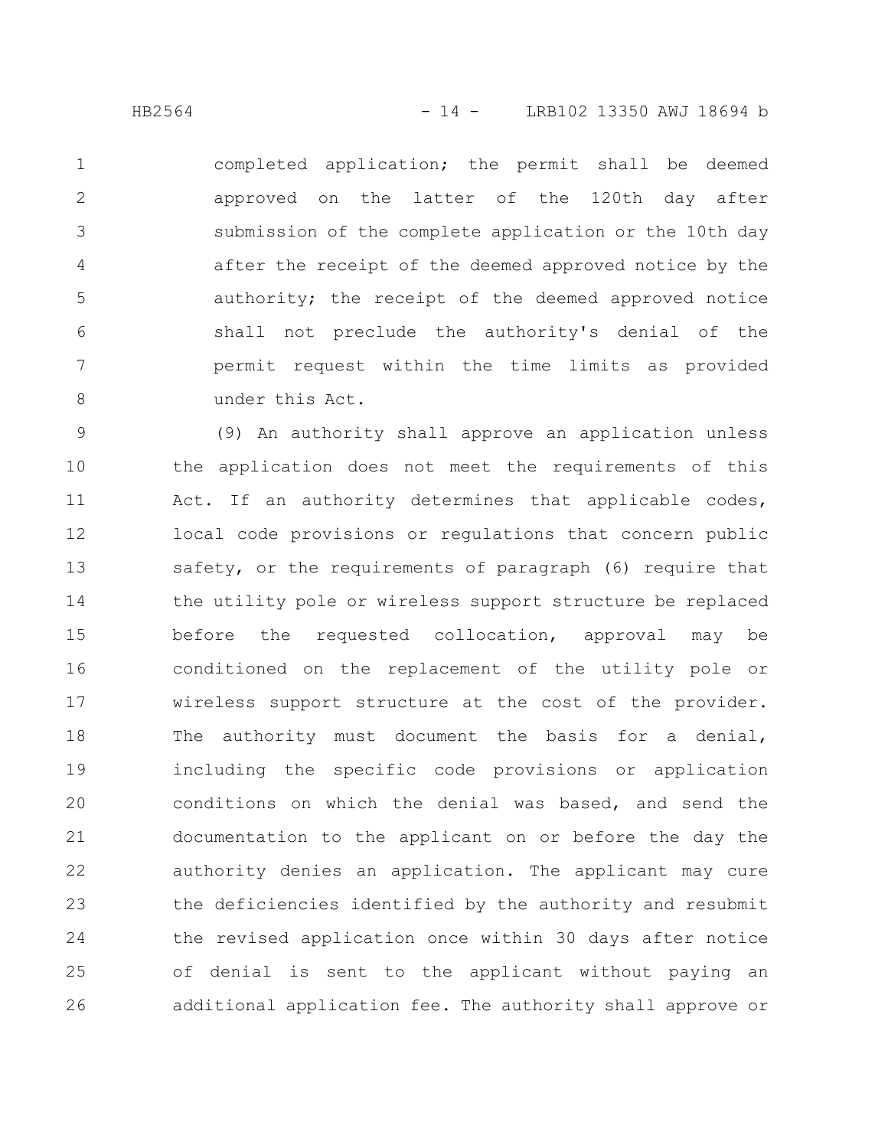completed application; the permit shall be deemed approved on the latter of the 120th day after submission of the complete application or the 10th day after the receipt of the deemed approved notice by the authority; the receipt of the deemed approved notice shall not preclude the authority's denial of the permit request within the time limits as provided under this Act. 1 2 3 4 5 6 7 8

(9) An authority shall approve an application unless the application does not meet the requirements of this Act. If an authority determines that applicable codes, local code provisions or regulations that concern public safety, or the requirements of paragraph (6) require that the utility pole or wireless support structure be replaced before the requested collocation, approval may be conditioned on the replacement of the utility pole or wireless support structure at the cost of the provider. The authority must document the basis for a denial, including the specific code provisions or application conditions on which the denial was based, and send the documentation to the applicant on or before the day the authority denies an application. The applicant may cure the deficiencies identified by the authority and resubmit the revised application once within 30 days after notice of denial is sent to the applicant without paying an additional application fee. The authority shall approve or 9 10 11 12 13 14 15 16 17 18 19 20 21 22 23 24 25 26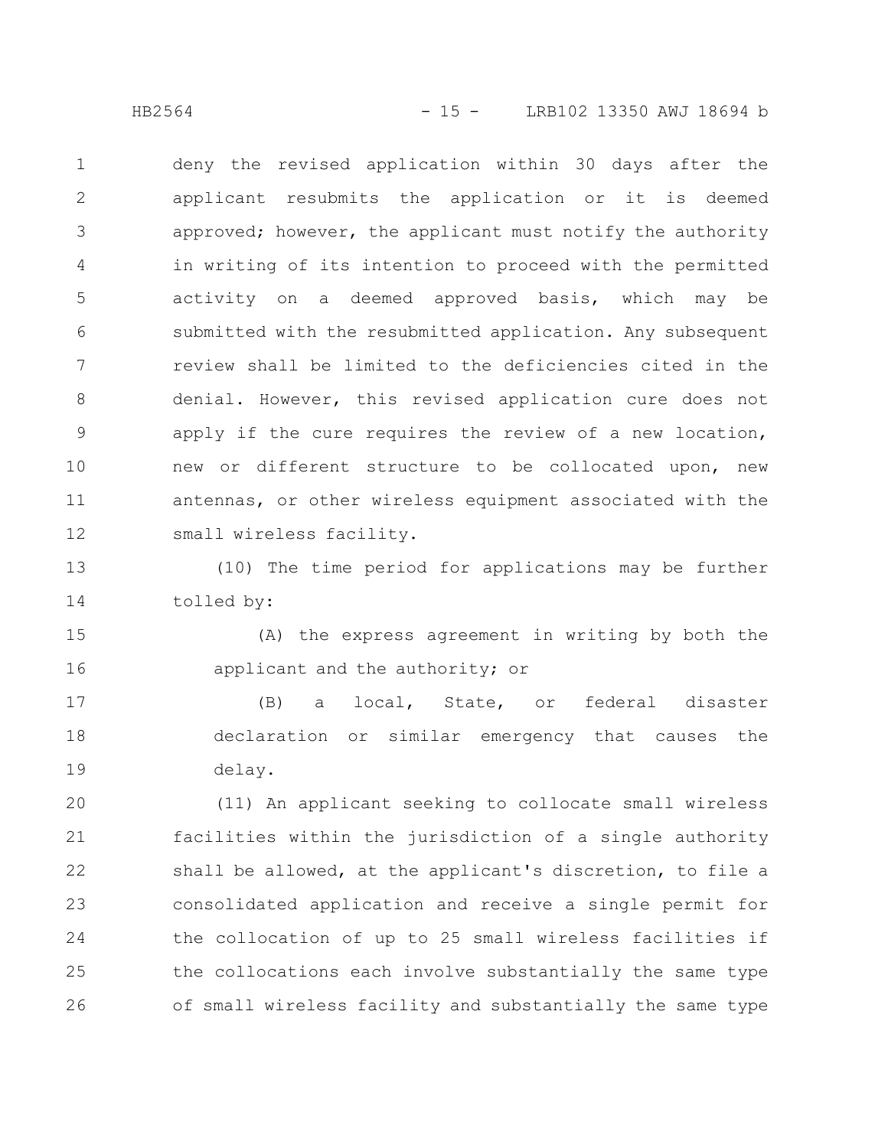HB2564 - 15 - LRB102 13350 AWJ 18694 b

deny the revised application within 30 days after the applicant resubmits the application or it is deemed approved; however, the applicant must notify the authority in writing of its intention to proceed with the permitted activity on a deemed approved basis, which may be submitted with the resubmitted application. Any subsequent review shall be limited to the deficiencies cited in the denial. However, this revised application cure does not apply if the cure requires the review of a new location, new or different structure to be collocated upon, new antennas, or other wireless equipment associated with the small wireless facility. 1 2 3 4 5 6 7 8 9 10 11 12

(10) The time period for applications may be further tolled by: 13 14

(A) the express agreement in writing by both the applicant and the authority; or 15 16

(B) a local, State, or federal disaster declaration or similar emergency that causes the delay. 17 18 19

(11) An applicant seeking to collocate small wireless facilities within the jurisdiction of a single authority shall be allowed, at the applicant's discretion, to file a consolidated application and receive a single permit for the collocation of up to 25 small wireless facilities if the collocations each involve substantially the same type of small wireless facility and substantially the same type 20 21 22 23 24 25 26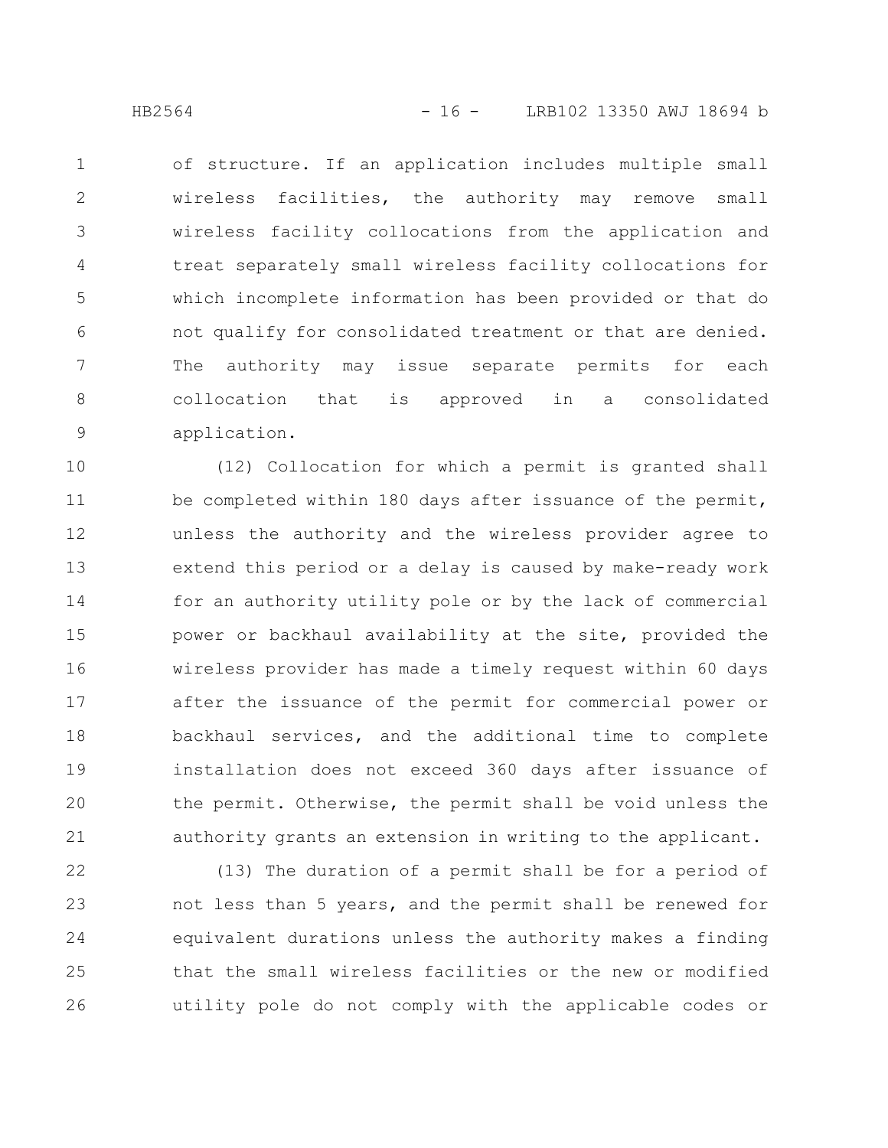of structure. If an application includes multiple small wireless facilities, the authority may remove small wireless facility collocations from the application and treat separately small wireless facility collocations for which incomplete information has been provided or that do not qualify for consolidated treatment or that are denied. The authority may issue separate permits for each collocation that is approved in a consolidated application. 1 2 3 4 5 6 7 8 9

(12) Collocation for which a permit is granted shall be completed within 180 days after issuance of the permit, unless the authority and the wireless provider agree to extend this period or a delay is caused by make-ready work for an authority utility pole or by the lack of commercial power or backhaul availability at the site, provided the wireless provider has made a timely request within 60 days after the issuance of the permit for commercial power or backhaul services, and the additional time to complete installation does not exceed 360 days after issuance of the permit. Otherwise, the permit shall be void unless the authority grants an extension in writing to the applicant. 10 11 12 13 14 15 16 17 18 19 20 21

(13) The duration of a permit shall be for a period of not less than 5 years, and the permit shall be renewed for equivalent durations unless the authority makes a finding that the small wireless facilities or the new or modified utility pole do not comply with the applicable codes or 22 23 24 25 26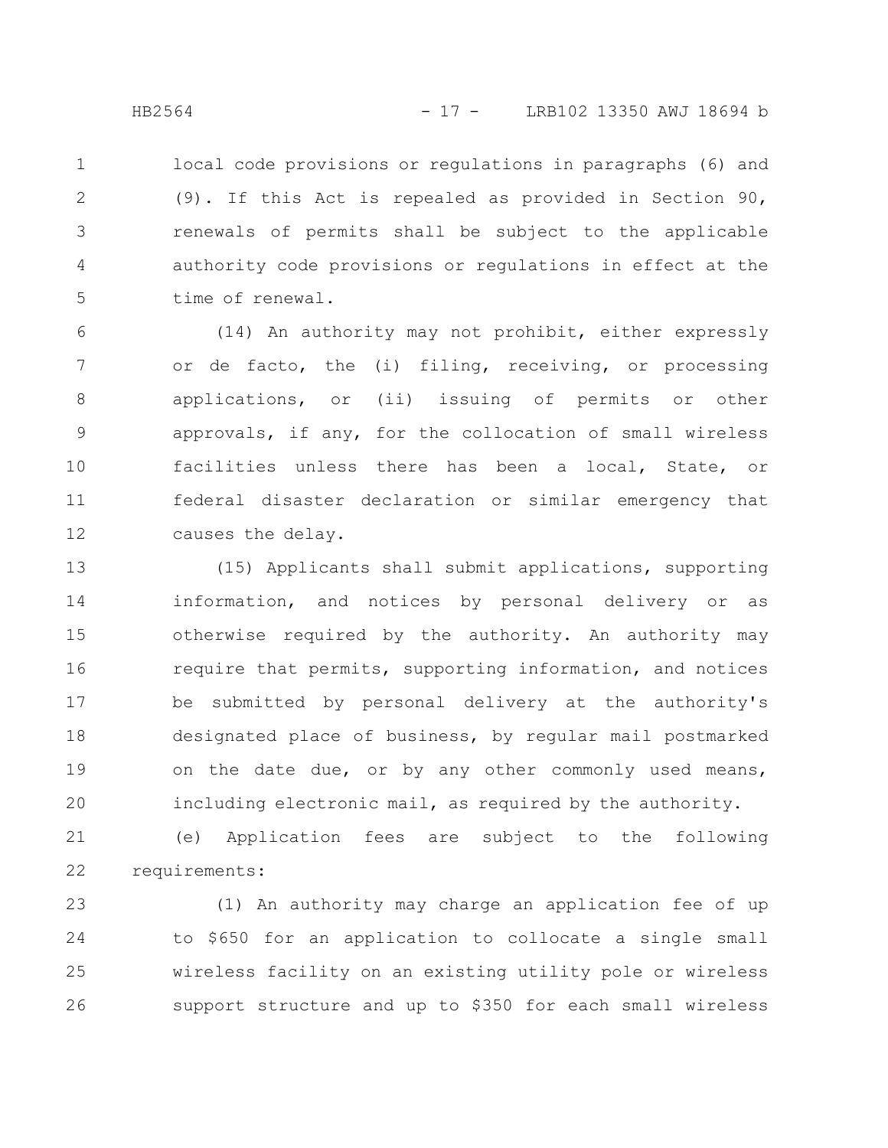local code provisions or regulations in paragraphs (6) and (9). If this Act is repealed as provided in Section 90, renewals of permits shall be subject to the applicable authority code provisions or regulations in effect at the time of renewal. 1 2 3 4 5

(14) An authority may not prohibit, either expressly or de facto, the (i) filing, receiving, or processing applications, or (ii) issuing of permits or other approvals, if any, for the collocation of small wireless facilities unless there has been a local, State, or federal disaster declaration or similar emergency that causes the delay. 6 7 8 9 10 11 12

(15) Applicants shall submit applications, supporting information, and notices by personal delivery or as otherwise required by the authority. An authority may require that permits, supporting information, and notices be submitted by personal delivery at the authority's designated place of business, by regular mail postmarked on the date due, or by any other commonly used means, including electronic mail, as required by the authority. 13 14 15 16 17 18 19 20

(e) Application fees are subject to the following requirements: 21 22

(1) An authority may charge an application fee of up to \$650 for an application to collocate a single small wireless facility on an existing utility pole or wireless support structure and up to \$350 for each small wireless 23 24 25 26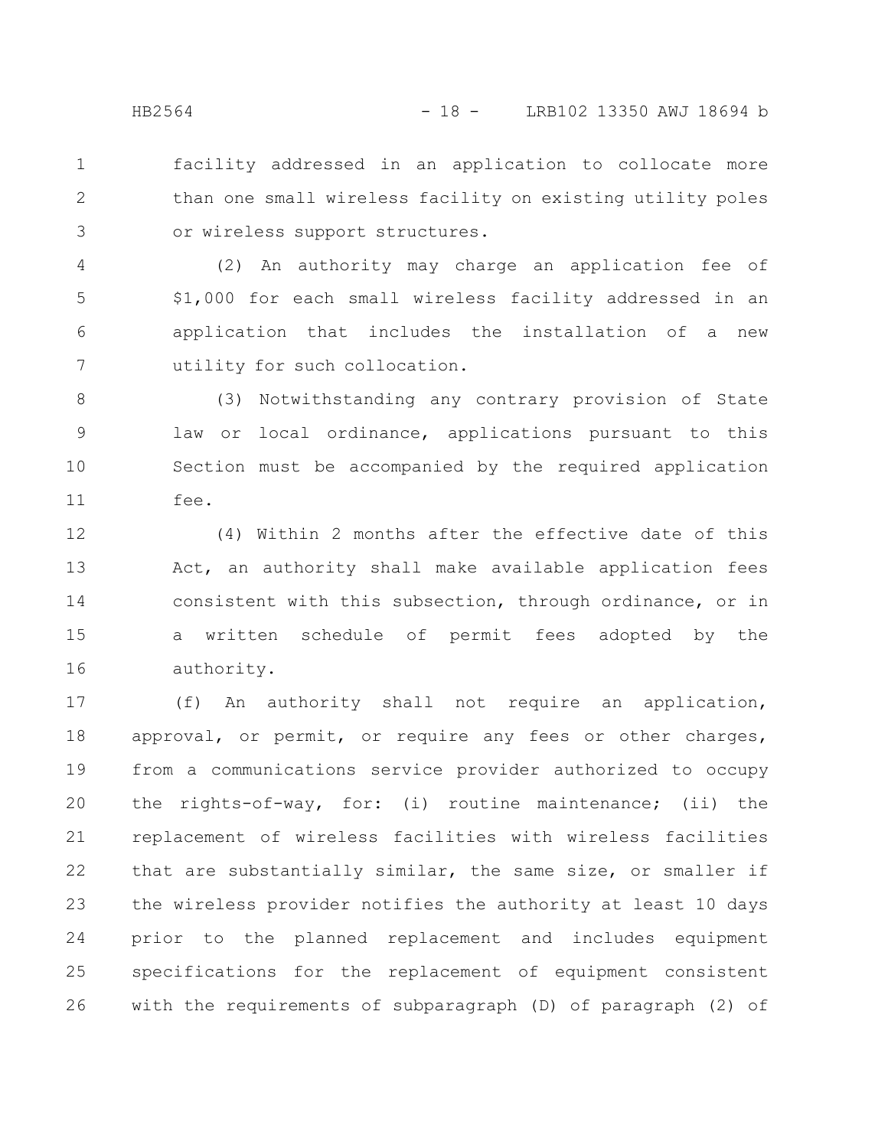facility addressed in an application to collocate more than one small wireless facility on existing utility poles or wireless support structures. 1 2 3

(2) An authority may charge an application fee of \$1,000 for each small wireless facility addressed in an application that includes the installation of a new utility for such collocation. 4 5 6 7

(3) Notwithstanding any contrary provision of State law or local ordinance, applications pursuant to this Section must be accompanied by the required application fee. 8 9 10 11

(4) Within 2 months after the effective date of this Act, an authority shall make available application fees consistent with this subsection, through ordinance, or in a written schedule of permit fees adopted by the authority. 12 13 14 15 16

(f) An authority shall not require an application, approval, or permit, or require any fees or other charges, from a communications service provider authorized to occupy the rights-of-way, for: (i) routine maintenance; (ii) the replacement of wireless facilities with wireless facilities that are substantially similar, the same size, or smaller if the wireless provider notifies the authority at least 10 days prior to the planned replacement and includes equipment specifications for the replacement of equipment consistent with the requirements of subparagraph (D) of paragraph (2) of 17 18 19 20 21 22 23 24 25 26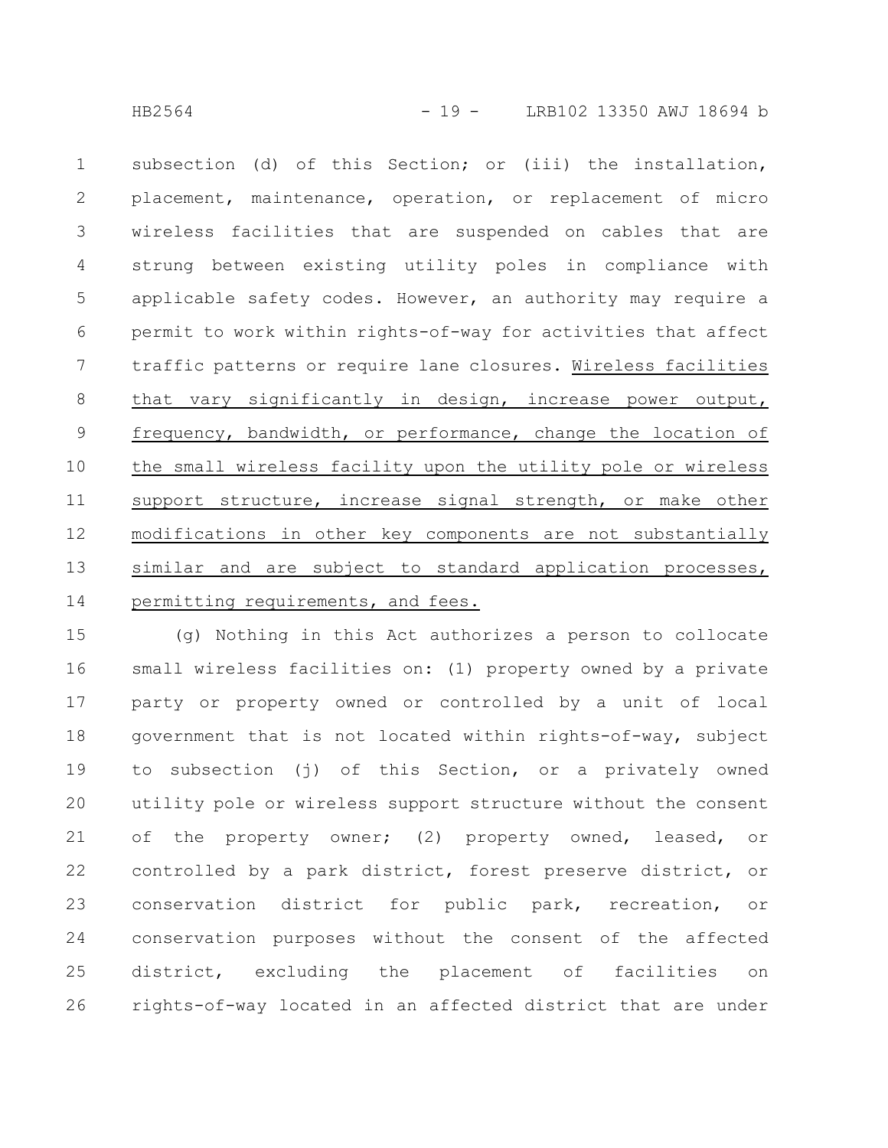subsection (d) of this Section; or (iii) the installation, placement, maintenance, operation, or replacement of micro wireless facilities that are suspended on cables that are strung between existing utility poles in compliance with applicable safety codes. However, an authority may require a permit to work within rights-of-way for activities that affect traffic patterns or require lane closures. Wireless facilities that vary significantly in design, increase power output, frequency, bandwidth, or performance, change the location of the small wireless facility upon the utility pole or wireless support structure, increase signal strength, or make other modifications in other key components are not substantially similar and are subject to standard application processes, permitting requirements, and fees. 1 2 3 4 5 6 7 8 9 10 11 12 13 14

(g) Nothing in this Act authorizes a person to collocate small wireless facilities on: (1) property owned by a private party or property owned or controlled by a unit of local government that is not located within rights-of-way, subject to subsection (j) of this Section, or a privately owned utility pole or wireless support structure without the consent of the property owner; (2) property owned, leased, or controlled by a park district, forest preserve district, or conservation district for public park, recreation, or conservation purposes without the consent of the affected district, excluding the placement of facilities on rights-of-way located in an affected district that are under 15 16 17 18 19 20 21 22 23 24 25 26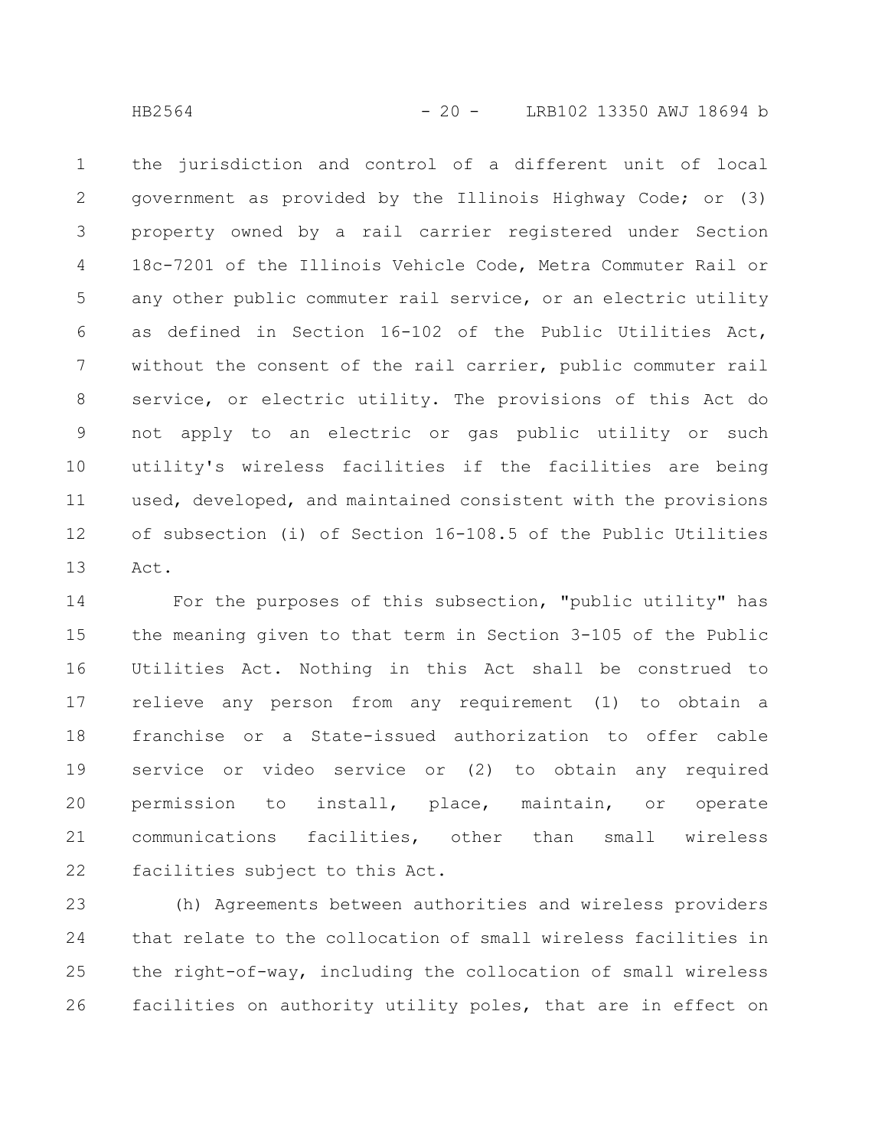the jurisdiction and control of a different unit of local government as provided by the Illinois Highway Code; or (3) property owned by a rail carrier registered under Section 18c-7201 of the Illinois Vehicle Code, Metra Commuter Rail or any other public commuter rail service, or an electric utility as defined in Section 16-102 of the Public Utilities Act, without the consent of the rail carrier, public commuter rail service, or electric utility. The provisions of this Act do not apply to an electric or gas public utility or such utility's wireless facilities if the facilities are being used, developed, and maintained consistent with the provisions of subsection (i) of Section 16-108.5 of the Public Utilities Act. 1 2 3 4 5 6 7 8 9 10 11 12 13

For the purposes of this subsection, "public utility" has the meaning given to that term in Section 3-105 of the Public Utilities Act. Nothing in this Act shall be construed to relieve any person from any requirement (1) to obtain a franchise or a State-issued authorization to offer cable service or video service or (2) to obtain any required permission to install, place, maintain, or operate communications facilities, other than small wireless facilities subject to this Act. 14 15 16 17 18 19 20 21 22

(h) Agreements between authorities and wireless providers that relate to the collocation of small wireless facilities in the right-of-way, including the collocation of small wireless facilities on authority utility poles, that are in effect on 23 24 25 26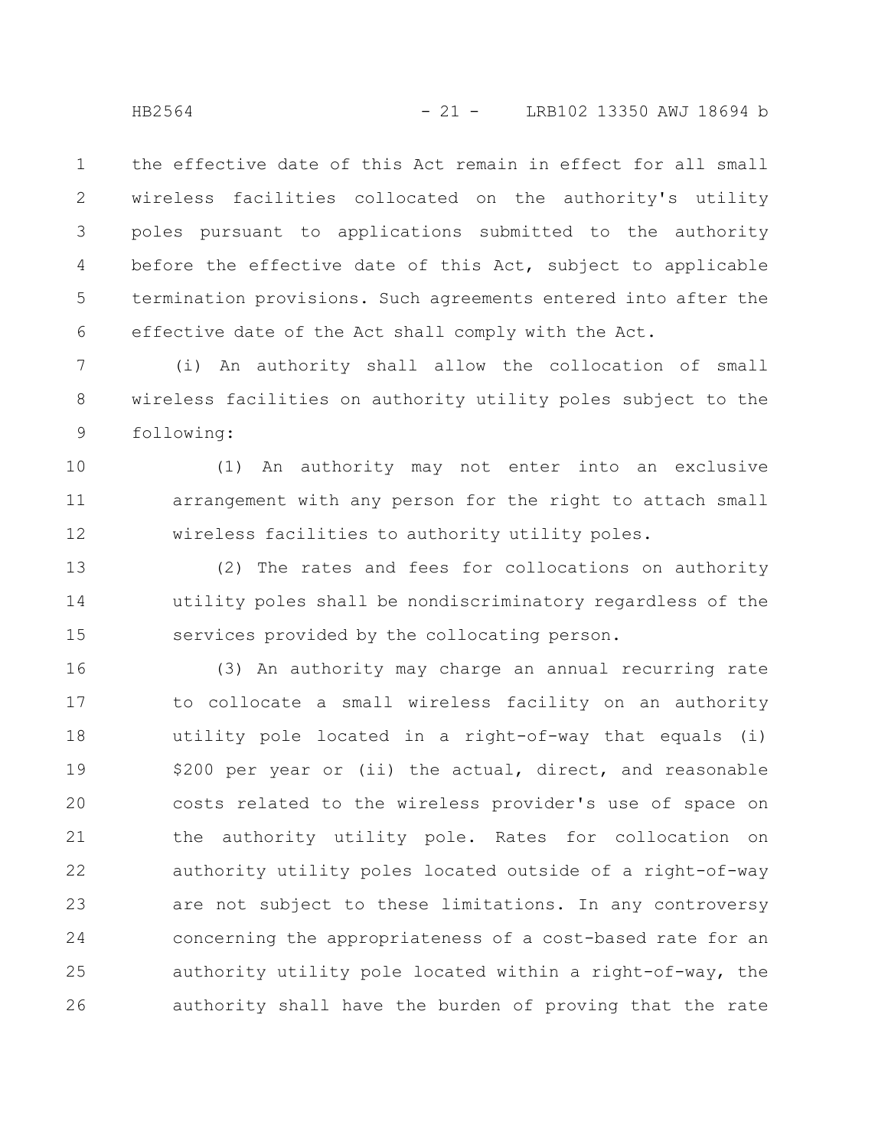the effective date of this Act remain in effect for all small wireless facilities collocated on the authority's utility poles pursuant to applications submitted to the authority before the effective date of this Act, subject to applicable termination provisions. Such agreements entered into after the effective date of the Act shall comply with the Act. 1 2 3 4 5 6

(i) An authority shall allow the collocation of small wireless facilities on authority utility poles subject to the following: 7 8 9

(1) An authority may not enter into an exclusive arrangement with any person for the right to attach small wireless facilities to authority utility poles. 10 11 12

(2) The rates and fees for collocations on authority utility poles shall be nondiscriminatory regardless of the services provided by the collocating person. 13 14 15

(3) An authority may charge an annual recurring rate to collocate a small wireless facility on an authority utility pole located in a right-of-way that equals (i) \$200 per year or (ii) the actual, direct, and reasonable costs related to the wireless provider's use of space on the authority utility pole. Rates for collocation on authority utility poles located outside of a right-of-way are not subject to these limitations. In any controversy concerning the appropriateness of a cost-based rate for an authority utility pole located within a right-of-way, the authority shall have the burden of proving that the rate 16 17 18 19 20 21 22 23 24 25 26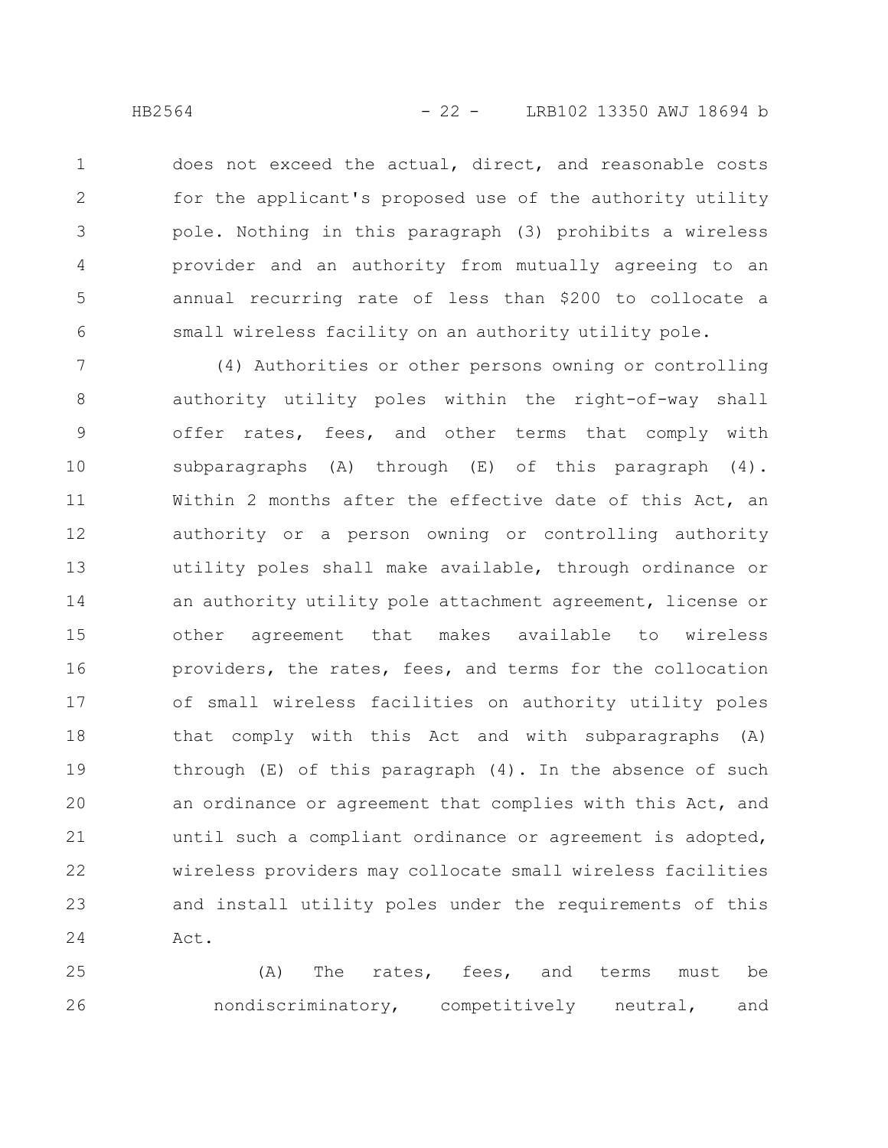does not exceed the actual, direct, and reasonable costs for the applicant's proposed use of the authority utility pole. Nothing in this paragraph (3) prohibits a wireless provider and an authority from mutually agreeing to an annual recurring rate of less than \$200 to collocate a small wireless facility on an authority utility pole. 1 2 3 4 5 6

(4) Authorities or other persons owning or controlling authority utility poles within the right-of-way shall offer rates, fees, and other terms that comply with subparagraphs  $(A)$  through  $(E)$  of this paragraph  $(4)$ . Within 2 months after the effective date of this Act, an authority or a person owning or controlling authority utility poles shall make available, through ordinance or an authority utility pole attachment agreement, license or other agreement that makes available to wireless providers, the rates, fees, and terms for the collocation of small wireless facilities on authority utility poles that comply with this Act and with subparagraphs (A) through  $(E)$  of this paragraph  $(4)$ . In the absence of such an ordinance or agreement that complies with this Act, and until such a compliant ordinance or agreement is adopted, wireless providers may collocate small wireless facilities and install utility poles under the requirements of this Act. 7 8 9 10 11 12 13 14 15 16 17 18 19 20 21 22 23 24

(A) The rates, fees, and terms must be nondiscriminatory, competitively neutral, and 25 26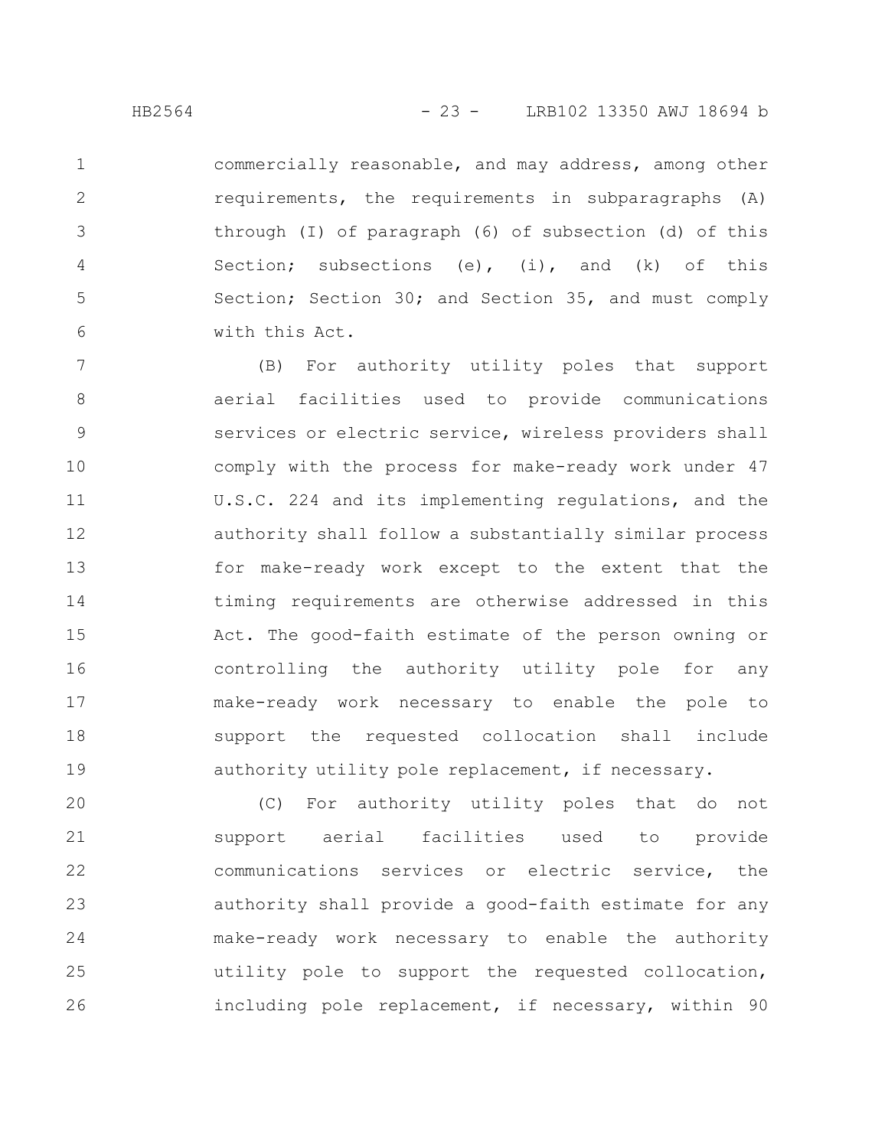1

2

3

4

5

6

commercially reasonable, and may address, among other requirements, the requirements in subparagraphs (A) through (I) of paragraph (6) of subsection (d) of this Section; subsections (e), (i), and (k) of this Section; Section 30; and Section 35, and must comply with this Act.

(B) For authority utility poles that support aerial facilities used to provide communications services or electric service, wireless providers shall comply with the process for make-ready work under 47 U.S.C. 224 and its implementing regulations, and the authority shall follow a substantially similar process for make-ready work except to the extent that the timing requirements are otherwise addressed in this Act. The good-faith estimate of the person owning or controlling the authority utility pole for any make-ready work necessary to enable the pole to support the requested collocation shall include authority utility pole replacement, if necessary. 7 8 9 10 11 12 13 14 15 16 17 18 19

(C) For authority utility poles that do not support aerial facilities used to provide communications services or electric service, the authority shall provide a good-faith estimate for any make-ready work necessary to enable the authority utility pole to support the requested collocation, including pole replacement, if necessary, within 90 20 21 22 23 24 25 26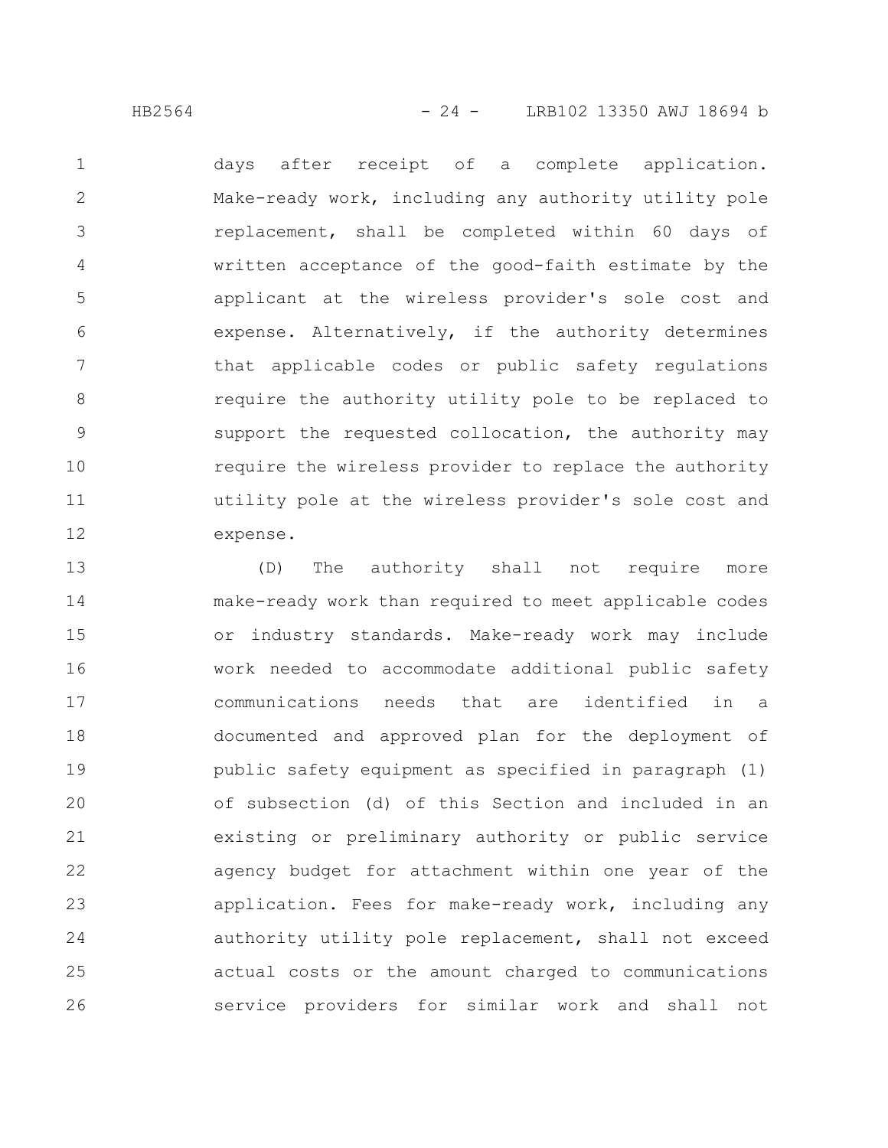HB2564 - 24 - LRB102 13350 AWJ 18694 b

days after receipt of a complete application. Make-ready work, including any authority utility pole replacement, shall be completed within 60 days of written acceptance of the good-faith estimate by the applicant at the wireless provider's sole cost and expense. Alternatively, if the authority determines that applicable codes or public safety regulations require the authority utility pole to be replaced to support the requested collocation, the authority may require the wireless provider to replace the authority utility pole at the wireless provider's sole cost and expense. 1 2 3 4 5 6 7 8 9 10 11 12

(D) The authority shall not require more make-ready work than required to meet applicable codes or industry standards. Make-ready work may include work needed to accommodate additional public safety communications needs that are identified in a documented and approved plan for the deployment of public safety equipment as specified in paragraph (1) of subsection (d) of this Section and included in an existing or preliminary authority or public service agency budget for attachment within one year of the application. Fees for make-ready work, including any authority utility pole replacement, shall not exceed actual costs or the amount charged to communications service providers for similar work and shall not 13 14 15 16 17 18 19 20 21 22 23 24 25 26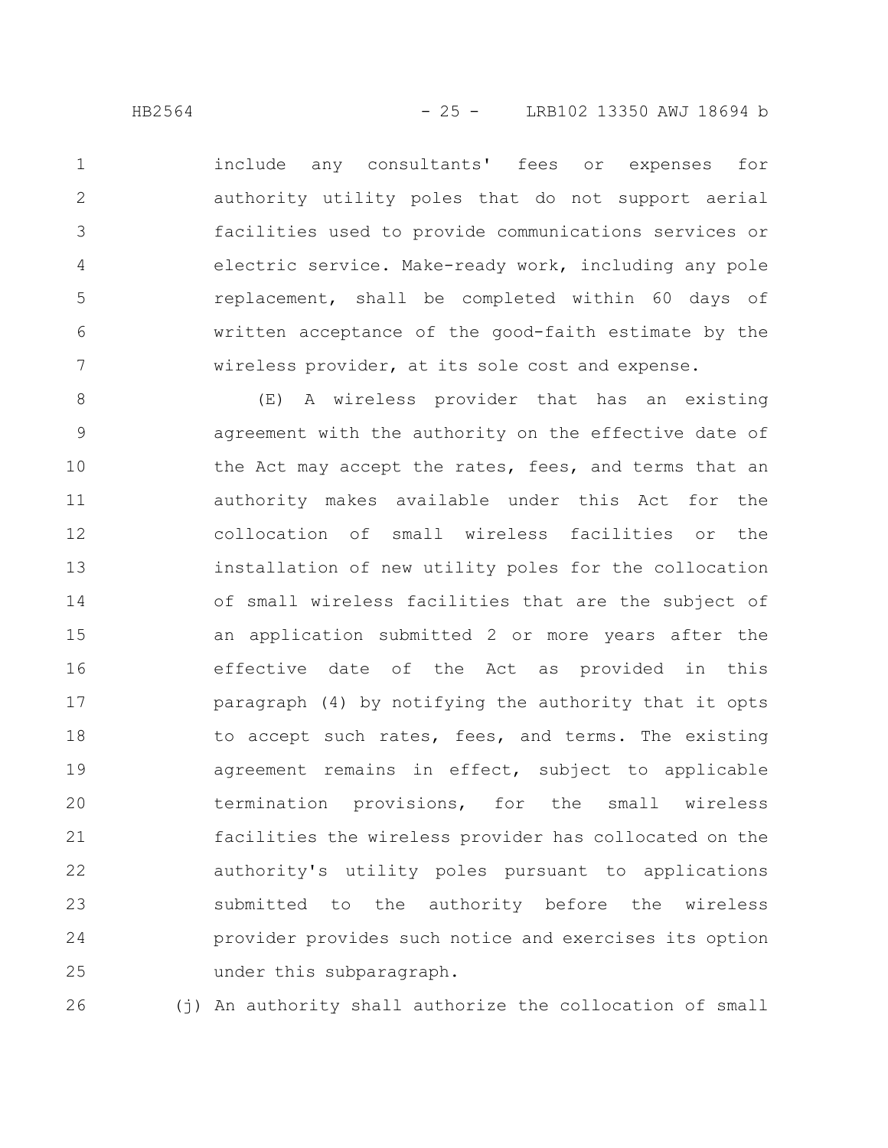include any consultants' fees or expenses for authority utility poles that do not support aerial facilities used to provide communications services or electric service. Make-ready work, including any pole replacement, shall be completed within 60 days of written acceptance of the good-faith estimate by the wireless provider, at its sole cost and expense. 1 2 3 4 5 6 7

(E) A wireless provider that has an existing agreement with the authority on the effective date of the Act may accept the rates, fees, and terms that an authority makes available under this Act for the collocation of small wireless facilities or the installation of new utility poles for the collocation of small wireless facilities that are the subject of an application submitted 2 or more years after the effective date of the Act as provided in this paragraph (4) by notifying the authority that it opts to accept such rates, fees, and terms. The existing agreement remains in effect, subject to applicable termination provisions, for the small wireless facilities the wireless provider has collocated on the authority's utility poles pursuant to applications submitted to the authority before the wireless provider provides such notice and exercises its option under this subparagraph. 8 9 10 11 12 13 14 15 16 17 18 19 20 21 22 23 24 25

(j) An authority shall authorize the collocation of small 26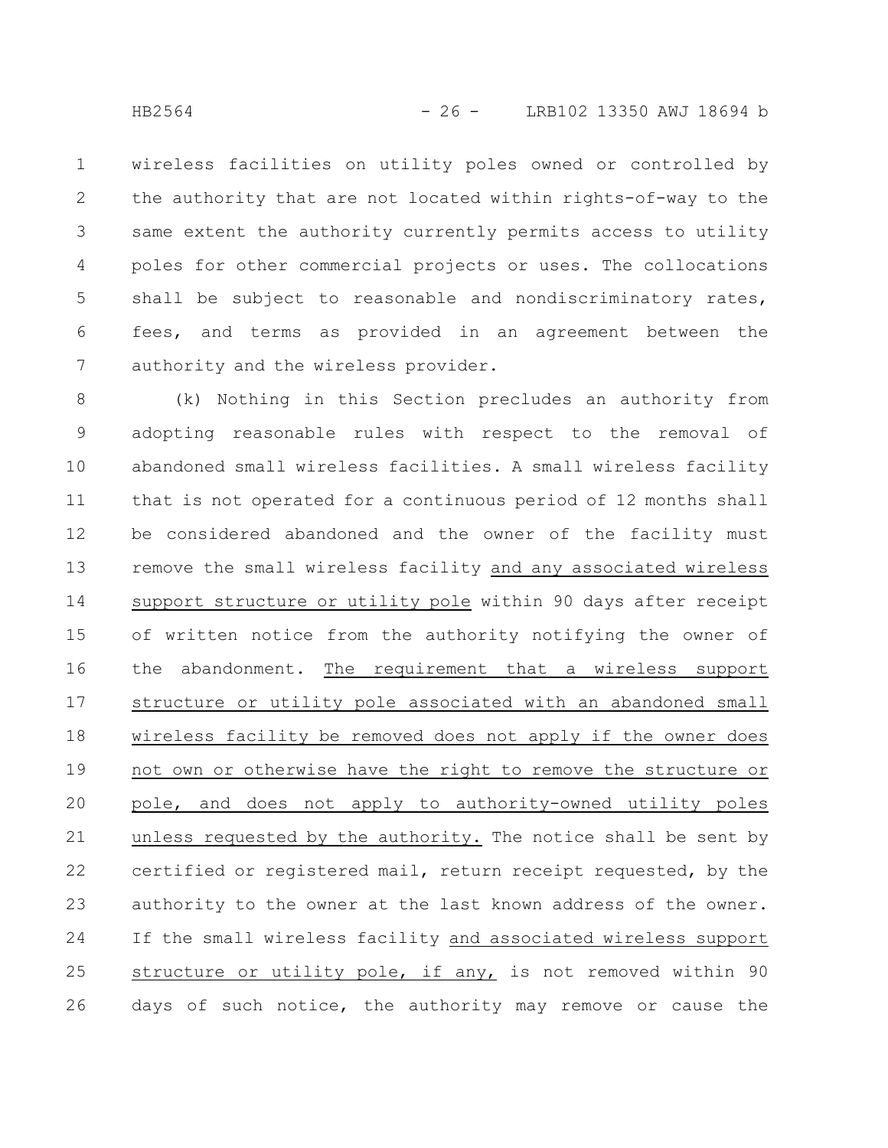wireless facilities on utility poles owned or controlled by the authority that are not located within rights-of-way to the same extent the authority currently permits access to utility poles for other commercial projects or uses. The collocations shall be subject to reasonable and nondiscriminatory rates, fees, and terms as provided in an agreement between the authority and the wireless provider. 1 2 3 4 5 6 7

(k) Nothing in this Section precludes an authority from adopting reasonable rules with respect to the removal of abandoned small wireless facilities. A small wireless facility that is not operated for a continuous period of 12 months shall be considered abandoned and the owner of the facility must remove the small wireless facility and any associated wireless support structure or utility pole within 90 days after receipt of written notice from the authority notifying the owner of the abandonment. The requirement that a wireless support structure or utility pole associated with an abandoned small wireless facility be removed does not apply if the owner does not own or otherwise have the right to remove the structure or pole, and does not apply to authority-owned utility poles unless requested by the authority. The notice shall be sent by certified or registered mail, return receipt requested, by the authority to the owner at the last known address of the owner. If the small wireless facility and associated wireless support structure or utility pole, if any, is not removed within 90 days of such notice, the authority may remove or cause the 8 9 10 11 12 13 14 15 16 17 18 19 20 21 22 23 24 25 26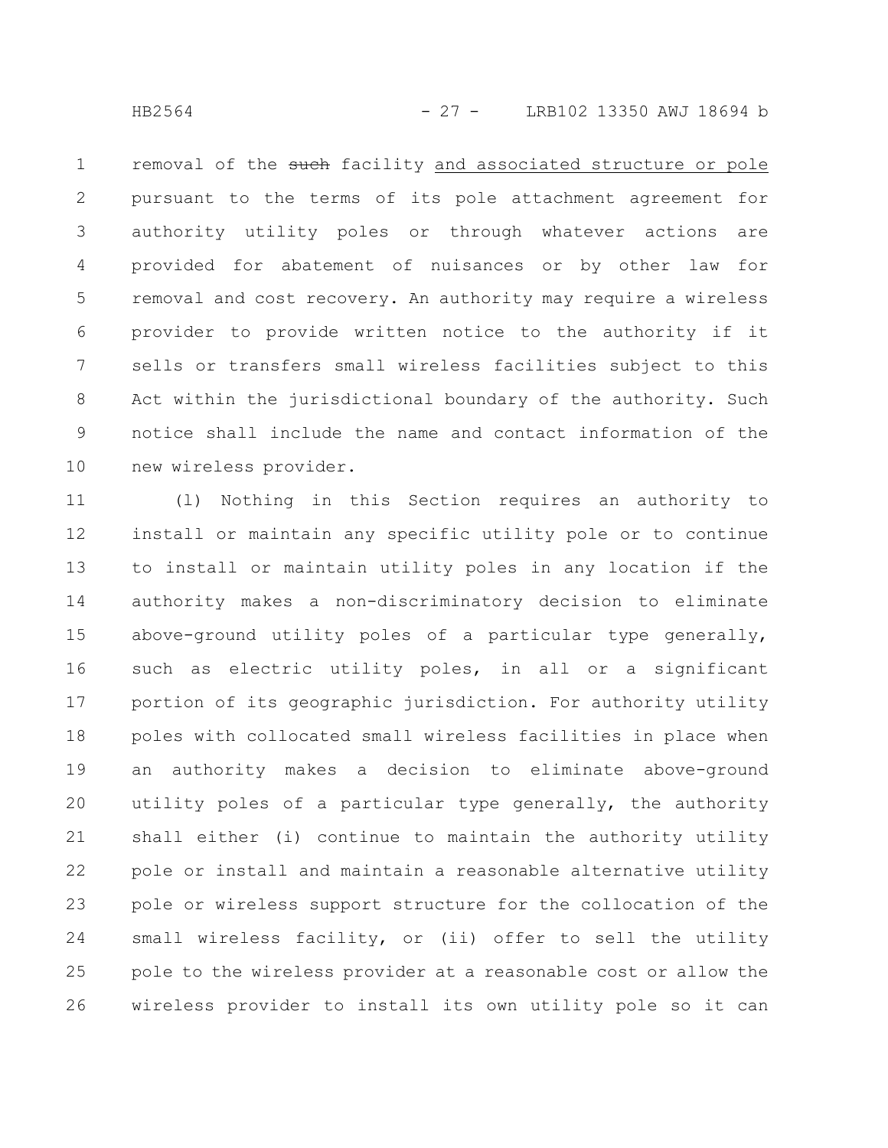removal of the such facility and associated structure or pole pursuant to the terms of its pole attachment agreement for authority utility poles or through whatever actions are provided for abatement of nuisances or by other law for removal and cost recovery. An authority may require a wireless provider to provide written notice to the authority if it sells or transfers small wireless facilities subject to this Act within the jurisdictional boundary of the authority. Such notice shall include the name and contact information of the new wireless provider. 1 2 3 4 5 6 7 8 9 10

(l) Nothing in this Section requires an authority to install or maintain any specific utility pole or to continue to install or maintain utility poles in any location if the authority makes a non-discriminatory decision to eliminate above-ground utility poles of a particular type generally, such as electric utility poles, in all or a significant portion of its geographic jurisdiction. For authority utility poles with collocated small wireless facilities in place when an authority makes a decision to eliminate above-ground utility poles of a particular type generally, the authority shall either (i) continue to maintain the authority utility pole or install and maintain a reasonable alternative utility pole or wireless support structure for the collocation of the small wireless facility, or (ii) offer to sell the utility pole to the wireless provider at a reasonable cost or allow the wireless provider to install its own utility pole so it can 11 12 13 14 15 16 17 18 19 20 21 22 23 24 25 26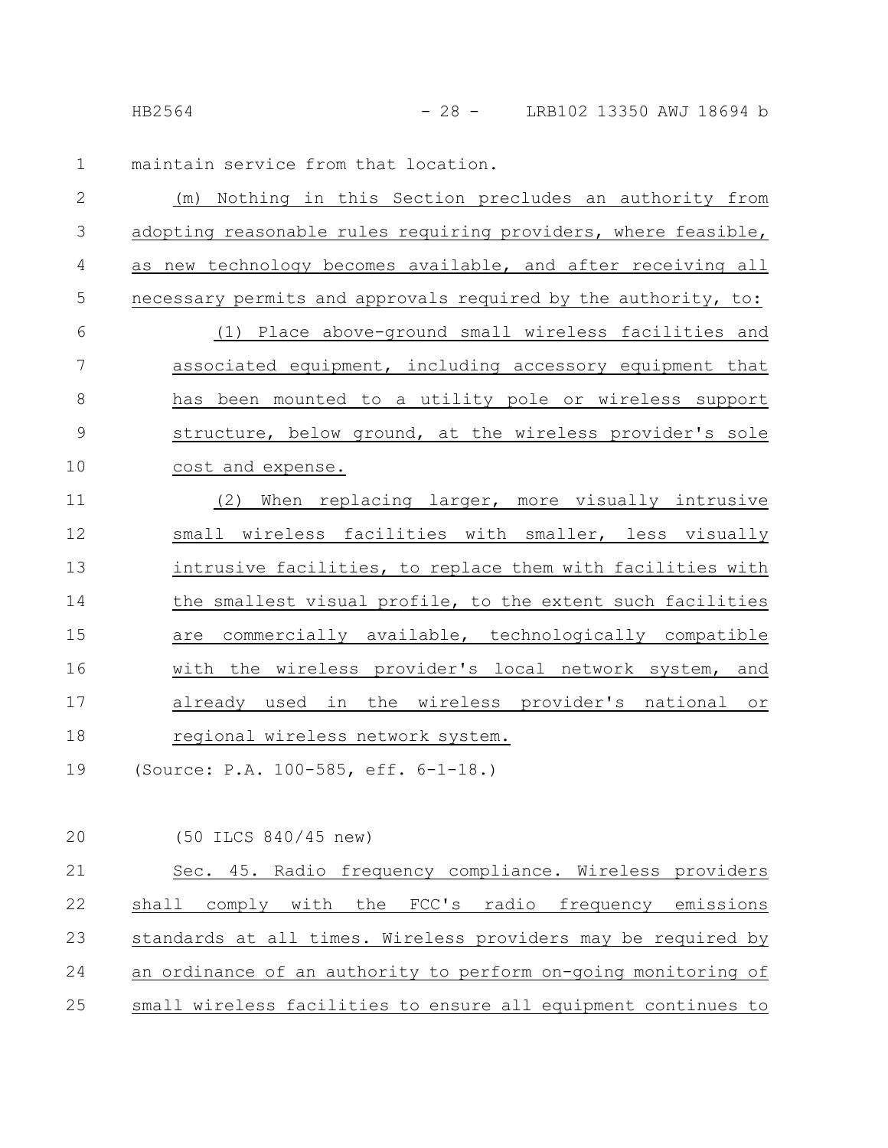maintain service from that location. 1

| $\overline{2}$ | (m) Nothing in this Section precludes an authority from        |
|----------------|----------------------------------------------------------------|
| 3              | adopting reasonable rules requiring providers, where feasible, |
| 4              | as new technology becomes available, and after receiving all   |
| 5              | necessary permits and approvals required by the authority, to: |
| 6              | (1) Place above-ground small wireless facilities and           |
| $\overline{7}$ | associated equipment, including accessory equipment that       |
| 8              | has been mounted to a utility pole or wireless support         |
| 9              | structure, below ground, at the wireless provider's sole       |
| 10             | cost and expense.                                              |
| 11             | When replacing larger, more visually intrusive<br>(2)          |
| 12             | small wireless facilities with smaller, less visually          |
| 13             | intrusive facilities, to replace them with facilities with     |
| 14             | the smallest visual profile, to the extent such facilities     |
| 15             | are commercially available, technologically compatible         |
| 16             | with the wireless provider's local network system, and         |
| 17             | already used in the wireless provider's national or            |
| 18             | regional wireless network system.                              |
| 19             | (Source: P.A. 100-585, eff. 6-1-18.)                           |

(50 ILCS 840/45 new) 20

| 21 | Sec. 45. Radio frequency compliance. Wireless providers        |
|----|----------------------------------------------------------------|
| 22 | shall comply with the FCC's radio frequency emissions          |
| 23 | standards at all times. Wireless providers may be required by  |
| 24 | an ordinance of an authority to perform on-going monitoring of |
| 25 | small wireless facilities to ensure all equipment continues to |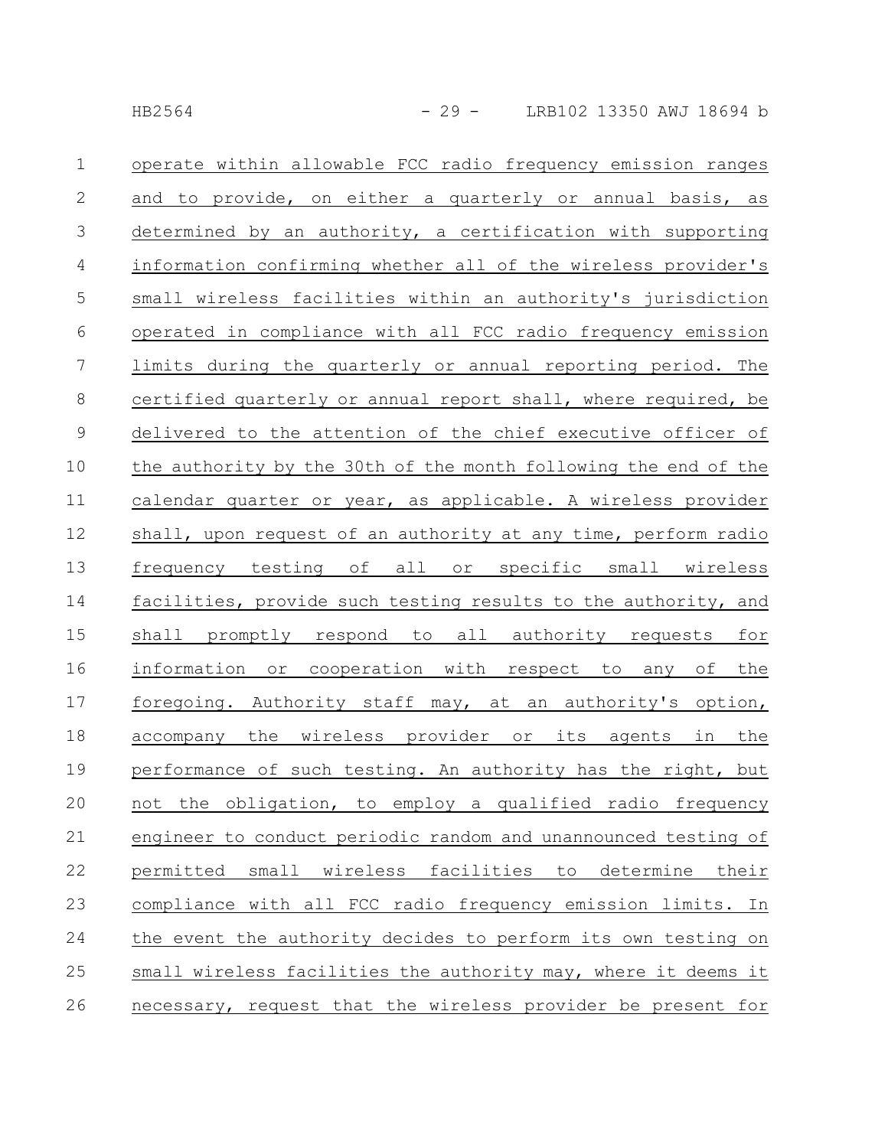| $\mathbf 1$      | operate within allowable FCC radio frequency emission ranges    |
|------------------|-----------------------------------------------------------------|
| $\mathbf{2}$     | and to provide, on either a quarterly or annual basis, as       |
| $\mathcal{S}$    | determined by an authority, a certification with supporting     |
| $\overline{4}$   | information confirming whether all of the wireless provider's   |
| 5                | small wireless facilities within an authority's jurisdiction    |
| $\sqrt{6}$       | operated in compliance with all FCC radio frequency emission    |
| $\boldsymbol{7}$ | limits during the quarterly or annual reporting period. The     |
| $8\,$            | certified quarterly or annual report shall, where required, be  |
| $\mathsf 9$      | delivered to the attention of the chief executive officer of    |
| 10               | the authority by the 30th of the month following the end of the |
| 11               | calendar quarter or year, as applicable. A wireless provider    |
| 12               | shall, upon request of an authority at any time, perform radio  |
| 13               | frequency testing of all or specific small wireless             |
| 14               | facilities, provide such testing results to the authority, and  |
| 15               | shall promptly respond to all authority requests for            |
| 16               | information or cooperation with respect to any of the           |
| 17               | foregoing. Authority staff may, at an authority's option,       |
| 18               | accompany the wireless provider or its agents in the            |
| 19               | performance of such testing. An authority has the right, but    |
| 20               | not the obligation, to employ a qualified radio frequency       |
| 21               | engineer to conduct periodic random and unannounced testing of  |
| 22               | permitted small wireless facilities to determine their          |
| 23               | compliance with all FCC radio frequency emission limits. In     |
| 24               | the event the authority decides to perform its own testing on   |
| 25               | small wireless facilities the authority may, where it deems it  |
| 26               | necessary, request that the wireless provider be present for    |